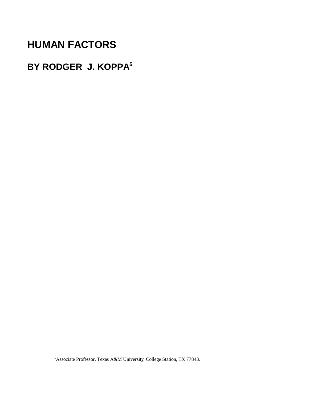# **HUMAN FACTORS**

# **BY RODGER J. KOPPA5**

<sup>&</sup>lt;sup>5</sup> Associate Professor, Texas A&M University, College Station, TX 77843.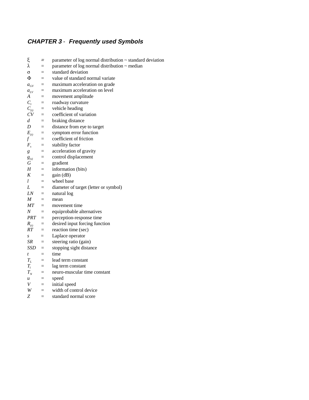# **CHAPTER 3** - **Frequently used Symbols**

| ξ                | $=$                | parameter of log normal distribution ~ standard deviation |
|------------------|--------------------|-----------------------------------------------------------|
| λ                | $=$                | parameter of log normal distribution $\sim$ median        |
| σ                | $=$                | standard deviation                                        |
| Φ                | $=$                | value of standard normal variate                          |
| $a_{GV}$         | $\equiv$           | maximum acceleration on grade                             |
| $a_{LV}$         | $=$                | maximum acceleration on level                             |
| A                | $=$                | movement amplitude                                        |
| $C_{r}$          | $=$                | roadway curvature                                         |
| $C_{(t)}$        | $=$                | vehicle heading                                           |
| CV               | $=$                | coefficient of variation                                  |
| d                | $=$                | braking distance                                          |
| D                | $\equiv$           | distance from eye to target                               |
| $E_{(t)}$        | $\equiv$           | symptom error function                                    |
| f                | $\equiv$           | coefficient of friction                                   |
| $F_{s}$          | $=$                | stability factor                                          |
| g                | $=$                | acceleration of gravity                                   |
| $g_{(s)}$        | $\equiv$           | control displacement                                      |
| G                | $\equiv$           | gradient                                                  |
| Н                | $\equiv$           | information (bits)                                        |
| K                | $\equiv$           | gain (dB)                                                 |
| L                | $=$                | wheel base                                                |
| L                | $\equiv$           | diameter of target (letter or symbol)                     |
| LN               | $=$                | natural log                                               |
| M                | $=$                | mean                                                      |
| МT               | $=$                | movement time                                             |
| $\cal N$         | $=$                | equiprobable alternatives                                 |
| $PRT =$          |                    | perception-response time                                  |
| $R_{(t)}$        | $=$                | desired input forcing function                            |
| RT.              | $=$                | reaction time (sec)                                       |
| $\boldsymbol{S}$ | $=$                | Laplace operator                                          |
| SR               | $=$                | steering ratio (gain)                                     |
| SSD              | $=$                | stopping sight distance                                   |
| $\mathfrak{t}$   | $=$                | time                                                      |
| $T_L$            | $=$                | lead term constant                                        |
| $T_{i}$          | $\equiv$           | lag term constant                                         |
| $T_{N}$          | $=$                | neuro-muscular time constant                              |
| $\boldsymbol{u}$ | $\equiv$           | speed                                                     |
| V                | $=$                | initial speed                                             |
| W                | $=$ $\blacksquare$ | width of control device                                   |
| Z                | $=$                | standard normal score                                     |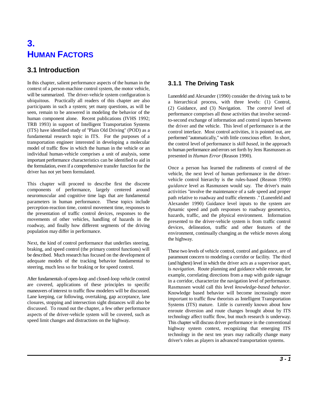# **3. HUMAN FACTORS**

# **3.1 Introduction**

In this chapter, salient performance aspects of the human in the context of a person-machine control system, the motor vehicle, will be summarized. The driver-vehicle system configuration is ubiquitous. Practically all readers of this chapter are also participants in such a system; yet many questions, as will be seen, remain to be answered in modeling the behavior of the human component alone. Recent publications (IVHS 1992; TRB 1993) in support of Intelligent Transportation Systems (ITS) have identified study of "Plain Old Driving" (POD) as a fundamental research topic in ITS. For the purposes of a transportation engineer interested in developing a molecular model of traffic flow in which the human in the vehicle or an individual human-vehicle comprises a unit of analysis, some important performance characteristics can be identified to aid in the formulation, even if a comprehensive transfer function for the driver has not yet been formulated.

This chapter will proceed to describe first the discrete components of performance, largely centered around neuromuscular and cognitive time lags that are fundamental parameters in human performance. These topics include perception-reaction time, control movement time, responses to the presentation of traffic control devices, responses to the movements of other vehicles, handling of hazards in the roadway, and finally how different segments of the driving population may differ in performance.

Next, the kind of control performance that underlies steering, braking, and speed control (the primary control functions) will be described. Much research has focused on the development of adequate models of the tracking behavior fundamental to steering, much less so for braking or for speed control.

After fundamentals of open-loop and closed-loop vehicle control are covered, applications of these principles to specific maneuvers of interest to traffic flow modelers will be discussed. Lane keeping, car following, overtaking, gap acceptance, lane closures, stopping and intersection sight distances will also be discussed. To round out the chapter, a few other performance aspects of the driver-vehicle system will be covered, such as speed limit changes and distractions on the highway.

# **3.1.1 The Driving Task**

Lunenfeld and Alexander (1990) consider the driving task to be a hierarchical process, with three levels: (1) Control, (2) Guidance, and (3) Navigation. The *control* level of performance comprises all those activities that involve secondto-second exchange of information and control inputs between the driver and the vehicle. This level of performance is at the control interface. Most control activities, it is pointed out, are performed "automatically," with little conscious effort. In short, the control level of performance is *skill based*, in the approach to human performance and errors set forth by Jens Rasmussen as presented in *Human Error* (Reason 1990).

Once a person has learned the rudiments of control of the vehicle, the next level of human performance in the drivervehicle control hierarchy is the rules-based (Reason 1990) *guidance* level as Rasmussen would say. The driver's main activities "involve the maintenance of a safe speed and proper path relative to roadway and traffic elements ." (Lunenfeld and Alexander 1990) Guidance level inputs to the system are dynamic speed and path responses to roadway geometrics, hazards, traffic, and the physical environment. Information presented to the driver-vehicle system is from traffic control devices, delineation, traffic and other features of the environment, continually changing as the vehicle moves along the highway.

These two levels of vehicle control, control and guidance, are of paramount concern to modeling a corridor or facility. The third (and highest) level in which the driver acts as a supervisor apart, is *navigation*. Route planning and guidance while enroute, for example, correlating directions from a map with guide signage in a corridor, characterize the navigation level of performance. Rasmussen would call this level *knowledge-based behavior*. Knowledge based behavior will become increasingly more important to traffic flow theorists as Intelligent Transportation Systems (ITS) mature. Little is currently known about how enroute diversion and route changes brought about by ITS technology affect traffic flow, but much research is underway. This chapter will discuss driver performance in the conventional highway system context, recognizing that emerging ITS technology in the next ten years may radically change many driver's roles as players in advanced transportation systems.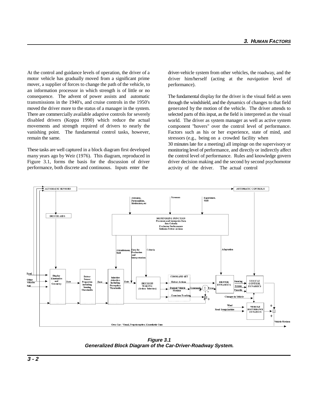At the control and guidance levels of operation, the driver of a driver-vehicle system from other vehicles, the roadway, and the motor vehicle has gradually moved from a significant prime mover, a supplier of forces to change the path of the vehicle, to an information processor in which strength is of little or no consequence. The advent of power assists and automatic transmissions in the 1940's, and cruise controls in the 1950's moved the driver more to the status of a manager in the system. There are commercially available adaptive controls for severely disabled drivers (Koppa 1990) which reduce the actual movements and strength required of drivers to nearly the vanishing point. The fundamental control tasks, however, remain the same.

These tasks are well captured in a block diagram first developed many years ago by Weir (1976). This diagram, reproduced in Figure 3.1, forms the basis for the discussion of driver performance, both discrete and continuous. Inputs enter the

driver him/herself (acting at the *navigation* level of performance).

The fundamental display for the driver is the visual field as seen through the windshield, and the dynamics of changes to that field generated by the motion of the vehicle. The driver attends to selected parts of this input, as the field is interpreted as the visual world. The driver as system manager as well as active system component "hovers" over the control level of performance. Factors such as his or her experience, state of mind, and stressors (e.g., being on a crowded facility when

30 minutes late for a meeting) all impinge on the supervisory or monitoring level of performance, and directly or indirectly affect the control level of performance. Rules and knowledge govern driver decision making and the second by second psychomotor activity of the driver. The actual control



**Figure 3.1 Generalized Block Diagram of the Car-Driver-Roadway System.**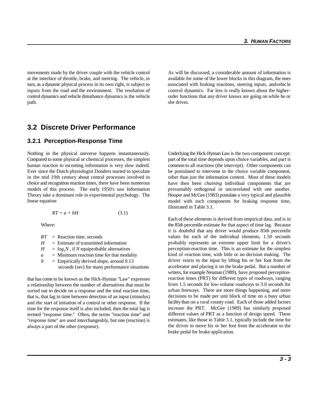movements made by the driver couple with the vehicle control As will be discussed, a considerable amount of information is at the interface of throttle, brake, and steering. The vehicle, in available for some of the lower blocks in this diagram, the ones turn, as a dynamic physical process in its own right, is subject to associated with braking reactions, steering inputs, andvehic le inputs from the road and the environment. The resolution of control dynamics. Far less is really known about the highercontrol dynamics and vehicle disturbance dynamics is the vehicle order functions that any driver knows are going on while he or path. she drives.

## **3.2 Discrete Driver Performance**

#### **3.2.1 Perception-Response Time**

Compared to some physical or chemical processes, the simplest part of the total time depends upon choice variables, and part is human reaction to incoming information is very slow indeed. common to all reactions (the intercept). Other components can Ever since the Dutch physiologist Donders started to speculate be postulated to intervene in the choice variable component, in the mid 19th century about central processes involved in other than just the information content. Most of these models choice and recognition reaction times, there have been numerous models of this process. The early 1950's saw Information Theory take a dominant role in experimental psychology. The linear equation

$$
RT = a + bH \tag{3.1}
$$

|   | $RT$ = Reaction time, seconds                 |
|---|-----------------------------------------------|
| H | $=$ Estimate of transmitted information       |
| H | $=$ $log_2N$ , if N equiprobable alternatives |
| a | $=$ Minimum reaction time for that modality   |

 $b =$  Empirically derived slope, around 0.13 seconds (sec) for many performance situations

that has come to be known as the Hick-Hyman "Law" expresses a relationship between the number of alternatives that must be sorted out to decide on a response and the total reaction time, that is, that lag in time between detection of an input (stimulus) and the start of initiation of a control or other response. If the time for the response itself is also included, then the total lag is termed "response time." Often, the terms "reaction time" and "response time" are used interchangeably, but one (reaction) is always a part of the other (response).

Nothing in the physical universe happens instantaneously. Underlying the Hick-Hyman Law is the two-component concept: have then been *chaining* individual components that are presumably orthogonal or uncorrelated with one another. Hooper and McGee (1983) postulate a very typical and plausible model with such components for braking response time, illustrated in Table 3.1.

Where: the 85th percentile estimate for that aspect of time lag. Because Each of these elements is derived from empirical data, and is in it is doubtful that any driver would produce 85th percentile values for each of the individual elements, 1.50 seconds probably represents an extreme upper limit for a driver's perception-reaction time. This is an estimate for the simplest kind of reaction time, with little or no decision making. The driver reacts to the input by lifting his or her foot from the accelerator and placing it on the brake pedal. But a number of writers, for example Neuman (1989), have proposed perceptionreaction times (PRT) for different types of roadways, ranging from 1.5 seconds for low-volume roadways to 3.0 seconds for urban freeways. There are more things happening, and more decisions to be made per unit block of time on a busy urban facility than on a rural county road. Each of those added factors increase the PRT. McGee (1989) has similarly proposed different values of PRT as a function of design speed. These estimates, like those in Table 3.1, typically include the time for the driver to move his or her foot from the accelerator to the brake pedal for brake application.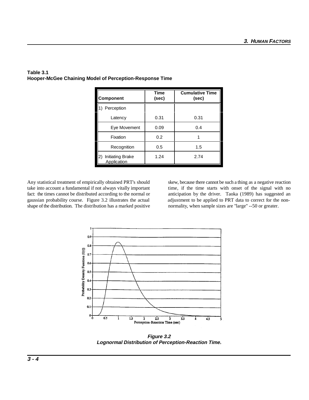| <b>Component</b>                             | <b>Time</b><br>(sec) | <b>Cumulative Time</b><br>(sec) |
|----------------------------------------------|----------------------|---------------------------------|
| Perception                                   |                      |                                 |
| Latency                                      | 0.31                 | 0.31                            |
| Eye Movement                                 | 0.09                 | 0.4                             |
| Fixation                                     | 0.2                  |                                 |
| Recognition                                  | 0.5                  | 1.5                             |
| <b>Initiating Brake</b><br>2)<br>Application | 1.24                 | 2.74                            |

#### **Table 3.1 Hooper-McGee Chaining Model of Perception-Response Time**

take into account a fundamental if not always vitally important time, if the time starts with onset of the signal with no fact: the times cannot be distributed according to the normal or anticipation by the driver. Taoka (1989) has suggested an gaussian probability course. Figure 3.2 illustrates the actual adjustment to be applied to PRT data to correct for the nonshape of the distribution. The distribution has a marked positive normality, when sample sizes are "large" --50 or greater.

Any statistical treatment of empirically obtained PRT's should skew, because there cannot be such a thing as a negative reaction



**Figure 3.2 Lognormal Distribution of Perception-Reaction Time.**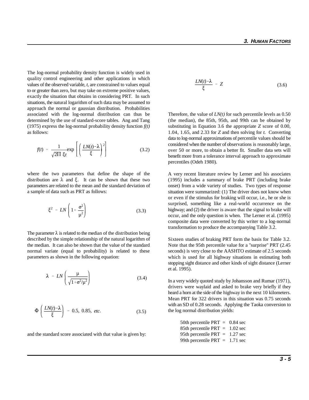The log-normal probability density function is widely used in quality control engineering and other applications in which values of the observed variable, *t*, are constrained to values equal to or greater than zero, but may take on extreme positive values, exactly the situation that obtains in considering PRT. In such situations, the natural logarithm of such data may be assumed to approach the normal or gaussian distribution. Probabilities associated with the log-normal distribution can thus be Therefore, the value of  $LN(t)$  for such percentile levels as  $0.50$ determined by the use of standard-score tables. Ang and Tang (the median), the 85th, 95th, and 99th can be obtained by (1975) express the log-normal probability density function  $f(t)$  substituting in Equation 3.6 the appropriate *Z* score of 0.00, as follows:

$$
f(t) = \frac{1}{\sqrt{2\Pi} \xi t} \exp\left[\left(\frac{LN(t)-\lambda}{\xi}\right)^2\right]
$$
 (3.2)

where the two parameters that define the shape of the distribution are  $\lambda$  and  $\xi$ . It can be shown that these two parameters are related to the mean and the standard deviation of a sample of data such as PRT as follows:

$$
\xi^2 = LN\left(1 + \frac{\sigma^2}{\mu^2}\right) \tag{3.3}
$$

The parameter  $\lambda$  is related to the median of the distribution being described by the simple relationship of the natural logarithm of the median. It can also be shown that the value of the standard normal variate (equal to probability) is related to these parameters as shown in the following equation:

$$
\lambda = LN\left(\frac{\mu}{\sqrt{1 + \sigma^2/\mu^2}}\right) \tag{3.4}
$$

$$
\Phi\left(\frac{LN(t)-\lambda}{\xi}\right) = 0.5, 0.85, \text{ etc.}
$$
\n(3.5)

and the standard score associated with that value is given by:

$$
\frac{LN(t)-\lambda}{\xi} = Z \tag{3.6}
$$

1.04, 1.65, and 2.33 for *Z* and then solving for *t.* Converting data to log-normal approximations of percentile values should be considered when the number of observations is reasonably large, over 50 or more, to obtain a better fit. Smaller data sets will benefit more from a tolerance interval approach to approximate percentiles (Odeh 1980).

A very recent literature review by Lerner and his associates (1995) includes a summary of brake PRT (including brake onset) from a wide variety of studies. Two types of response situation were summarized: (1) The driver does not know when or even if the stimulus for braking will occur, i.e., he or she is surprised, something like a real-world occurrence on the highway; and (2) the driver is aware that the signal to brake will occur, and the only question is when. The Lerner et al. (1995) composite data were converted by this writer to a log-normal transformation to produce the accompanying Table 3.2.

Sixteen studies of braking PRT form the basis for Table 3.2. Note that the 95th percentile value for a "surprise" PRT (2.45 seconds) is very close to the AASHTO estimate of 2.5 seconds which is used for all highway situations in estimating both stopping sight distance and other kinds of sight distance (Lerner et al. 1995).

In a very widely quoted study by Johansson and Rumar (1971), drivers were waylaid and asked to brake very briefly if they heard a horn at the side of the highway in the next 10 kilometers. Mean PRT for 322 drivers in this situation was 0.75 seconds with an SD of 0.28 seconds. Applying the Taoka conversion to the log normal distribution yields:

> 50th percentile PRT = 0.84 sec 85th percentile PRT = 1.02 sec 95th percentile PRT = 1.27 sec 99th percentile PRT = 1.71 sec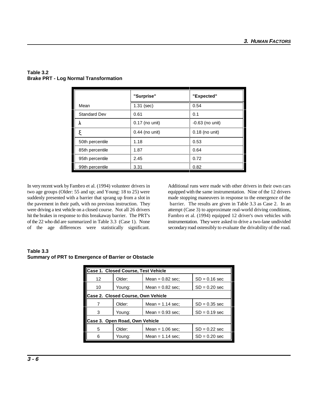|                     | "Surprise"       | "Expected"        |
|---------------------|------------------|-------------------|
| Mean                | $1.31$ (sec)     | 0.54              |
| <b>Standard Dev</b> | 0.61             | 0.1               |
| λ                   | 0.17 (no unit)   | $-0.63$ (no unit) |
| ξ                   | $0.44$ (no unit) | $0.18$ (no unit)  |
| 50th percentile     | 1.18             | 0.53              |
| 85th percentile     | 1.87             | 0.64              |
| 95th percentile     | 2.45             | 0.72              |
| 99th percentile     | 3.31             | 0.82              |

#### **Table 3.2 Brake PRT - Log Normal Transformation**

two age groups (Older: 55 and up; and Young: 18 to 25) were equipped with the same instrumentation. Nine of the 12 drivers suddenly presented with a barrier that sprang up from a slot in made stopping maneuvers in response to the emergence of the the pavement in their path, with no previous instruction. They barrier. The results are given in Table 3.3 as Case 2. In an were driving a test vehicle on a closed course. Not all 26 drivers attempt (Case 3) to approximate real-world driving conditions, hit the brakes in response to this breakaway barrier. The PRT's Fambro et al. (1994) equipped 12 driver's own vehicles with of the 22 who did are summarized in Table 3.3 (Case 1). None instrumentation. They were asked to drive a two-lane undivided

In very recent work by Fambro et al. (1994) volunteer drivers in Additional runs were made with other drivers in their own cars of the age differences were statistically significant. secondary road ostensibly to evaluate the drivability of the road.

#### **Table 3.3 Summary of PRT to Emergence of Barrier or Obstacle**

| <b>Case 1. Closed Course, Test Vehicle</b> |                                |                    |                 |  |  |  |  |
|--------------------------------------------|--------------------------------|--------------------|-----------------|--|--|--|--|
| 12                                         | Older:                         | Mean $= 0.82$ sec: | $SD = 0.16$ sec |  |  |  |  |
| 10                                         | Young:                         | Mean $= 0.82$ sec: | $SD = 0.20$ sec |  |  |  |  |
| Case 2. Closed Course, Own Vehicle         |                                |                    |                 |  |  |  |  |
| Older:                                     |                                | Mean = $1.14$ sec: | $SD = 0.35$ sec |  |  |  |  |
| 3                                          | Young:                         | Mean $= 0.93$ sec: | $SD = 0.19$ sec |  |  |  |  |
|                                            | Case 3. Open Road, Own Vehicle |                    |                 |  |  |  |  |
| 5<br>Older:                                |                                | Mean $= 1.06$ sec: | $SD = 0.22$ sec |  |  |  |  |
| 6                                          | Young:                         | Mean = $1.14$ sec: | $SD = 0.20$ sec |  |  |  |  |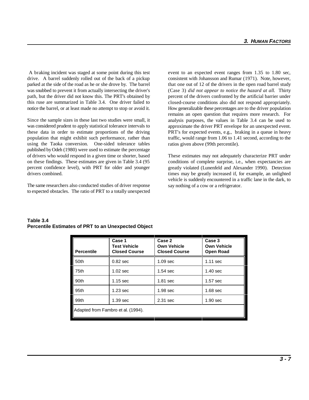A braking incident was staged at some point during this test event to an expected event ranges from 1.35 to 1.80 sec, drive. A barrel suddenly rolled out of the back of a pickup consistent with Johansson and Rumar (1971). Note, however, parked at the side of the road as he or she drove by. The barrel that one out of 12 of the drivers in the open road barrel study was snubbed to prevent it from actually intersecting the driver's path, but the driver did not know this. The PRT's obtained by this ruse are summarized in Table 3.4. One driver failed to notice the barrel, or at least made no attempt to stop or avoid it.

Since the sample sizes in these last two studies were small, it was considered prudent to apply statistical tolerance intervals to these data in order to estimate proportions of the driving population that might exhibit such performance, rather than using the Taoka conversion. One-sided tolerance tables published by Odeh (1980) were used to estimate the percentage of drivers who would respond in a given time or shorter, based on these findings. These estimates are given in Table 3.4 (95 percent confidence level), with PRT for older and younger drivers combined.

The same researchers also conducted studies of driver response to expected obstacles. The ratio of PRT to a totally unexpected (Case 3) *did not appear to notice the hazard at all.* Thirty percent of the drivers confronted by the artificial barrier under closed-course conditions also did not respond appropriately. How generalizable these percentages are to the driver population remains an open question that requires more research. For analysis purposes, the values in Table 3.4 can be used to approximate the driver PRT envelope for an unexpected event. PRT's for expected events, e.g., braking in a queue in heavy traffic, would range from 1.06 to 1.41 second, according to the ratios given above (99th percentile).

These estimates may not adequately characterize PRT under conditions of complete surprise, i.e., when expectancies are greatly violated (Lunenfeld and Alexander 1990). Detection times may be greatly increased if, for example, an unlighted vehicle is suddenly encountered in a traffic lane in the dark, to say nothing of a cow or a refrigerator.

| <b>Percentile</b> | Case 1<br><b>Test Vehicle</b><br><b>Closed Course</b> | Case 2<br><b>Own Vehicle</b><br><b>Closed Course</b> | Case 3<br><b>Own Vehicle</b><br><b>Open Road</b> |  |  |  |
|-------------------|-------------------------------------------------------|------------------------------------------------------|--------------------------------------------------|--|--|--|
| 50th              | $0.82$ sec                                            | 1.09 <sub>sec</sub>                                  | $1.11$ sec                                       |  |  |  |
| 75th              | $1.02$ sec                                            | $1.54$ sec                                           | $1.40$ sec                                       |  |  |  |
| 90th              | $1.15$ sec                                            | $1.81$ sec                                           | 1.57 sec                                         |  |  |  |
| 95 <sub>th</sub>  | 1.23 <sub>sec</sub>                                   | 1.98 <sub>sec</sub>                                  | 1.68 <sub>sec</sub>                              |  |  |  |
| 99th              | 1.39 <sub>sec</sub>                                   | 2.31 sec                                             | 1.90 <sub>sec</sub>                              |  |  |  |
|                   | Adapted from Fambro et al. (1994).                    |                                                      |                                                  |  |  |  |

#### **Table 3.4 Percentile Estimates of PRT to an Unexpected Object**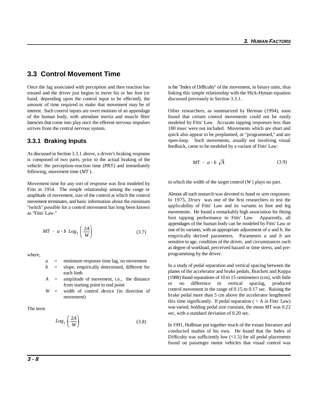# **3.3 Control Movement Time**

hand, depending upon the control input to be effected), the discussed previously in Section 3.3.1. amount of time required to make that movement may be of interest. Such control inputs are overt motions of an appendage Other researchers, as summarized by Berman (1994), soon

#### **3.3.1 Braking Inputs**

As discussed in Section 3.3.1 above, a driver's braking response is composed of two parts, prior to the actual braking of the vehicle: the perception-reaction time (PRT) and immediately following, movement time (*MT* ).

Movement time for any sort of response was first modeled by Fitts in 1954. The simple relationship among the range or amplitude of movement, size of the control at which the control movement terminates, and basic information about the minimum "twitch" possible for a control movement has long been known as "Fitts' Law."

$$
MT = a + b \, Log_2 \left(\frac{2A}{W}\right) \tag{3.7}
$$

where,

$$
a =
$$
 minimum response time lag, no movement

*b* = slope, empirically determined, different for each limb

*A* = amplitude of movement, i.e., the distance from starting point to end point

*W* = width of control device (in direction of movement)

The term

$$
Log_2\left(\frac{2A}{W}\right) \tag{3.8}
$$

Once the lag associated with perception and then reaction has is the "Index of Difficulty" of the movement, in binary units, thus ensued and the driver just begins to move his or her foot (or linking this simple relationship with the Hick-Hyman equation

of the human body, with attendant inertia and muscle fiber found that certain control movements could not be easily latencies that come into play once the efferent nervous impulses modeled by Fitts' Law. Accurate tapping responses less than arrives from the central nervous system. 180 msec were not included. Movements which are short and quick also appear to be preplanned, or "programmed," and are open-loop. Such movements, usually not involving visual feedback, came to be modeled by a variant of Fitts' Law:

$$
MT = a + b \sqrt{A} \tag{3.9}
$$

in which the width of the target control (*W* ) plays no part.

Almost all such research was devoted to hand or arm responses. In 1975, Drury was one of the first researchers to test the applicability of Fitts' Law and its variants to foot and leg movements. He found a remarkably high association for fitting foot tapping performance to Fitts' Law. Apparently, all appendages of the human body can be modeled by Fitts' Law or one of its variants, with an appropriate adjustment of *a* and *b,* the empirically derived parameters. Parameters *a* and *b* are sensitive to age, condition of the driver, and circumstances such as degree of workload, perceived hazard or time stress, and preprogramming by the driver.

In a study of pedal separation and vertical spacing between the planes of the accelerator and brake pedals, Brackett and Koppa (1988) found separations of 10 to 15 centimeters (cm), with little or no difference in vertical spacing, produced control movement in the range of 0.15 to 0.17 sec. Raising the brake pedal more than 5 cm above the accelerator lengthened this time significantly. If pedal separation  $( = A$  in Fitts' Law) was varied, holding pedal size constant, the mean *MT* was 0.22 sec, with a standard deviation of 0.20 sec.

In 1991, Hoffman put together much of the extant literature and conducted studies of his own. He found that the Index of Difficulty was sufficiently low  $\left($ <1.5) for all pedal placements found on passenger motor vehicles that visual control was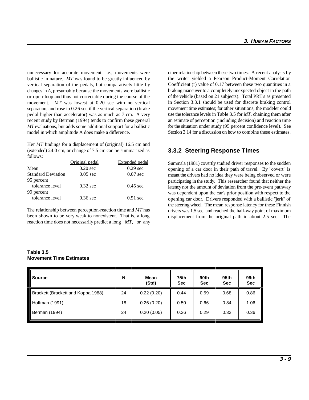unnecessary for accurate movement, i.e., movements were other relationship between these two times. A recent analysis by ballistic in nature. *MT* was found to be greatly influenced by vertical separation of the pedals, but comparatively little by changes in *A*, presumably because the movements were ballistic or open-loop and thus not correctable during the course of the movement. *MT* was lowest at 0.20 sec with no vertical separation, and rose to 0.26 sec if the vertical separation (brake pedal higher than accelerator) was as much as 7 cm. A very recent study by Berman (1994) tends to confirm these general *MT* evaluations, but adds some additional support for a ballistic model in which amplitude A does make a difference.

Her *MT* findings for a displacement of (original) 16.5 cm and (extended) 24.0 cm, or change of 7.5 cm can be summarized as follows:

|                           | Original pedal     | <b>Extended pedal</b> |
|---------------------------|--------------------|-----------------------|
| Mean                      | $0.20$ sec         | $0.29$ sec            |
| <b>Standard Deviation</b> | $0.05 \text{ sec}$ | $0.07 \text{ sec}$    |
| 95 percent                |                    |                       |
| tolerance level           | $0.32$ sec         | $0.45 \text{ sec}$    |
| 99 percent                |                    |                       |
| tolerance level           | $0.36$ sec         | $0.51 \text{ sec}$    |
|                           |                    |                       |

The relationship between perception-reaction time and *MT* has been shown to be very weak to nonexistent. That is, a long reaction time does not necessarily predict a long *MT*, or any the writer yielded a Pearson Product-Moment Correlation Coefficient (r) value of 0.17 between these two quantities in a braking maneuver to a completely unexpected object in the path of the vehicle (based on 21 subjects). Total PRT's as presented in Section 3.3.1 should be used for discrete braking control movement time estimates; for other situations, the modeler could use the tolerance levels in Table 3.5 for *MT*, chaining them after an estimate of perception (including decision) and reaction time for the situation under study (95 percent confidence level). See Section 3.14 for a discussion on how to combine these estimates.

## **3.3.2 Steering Response Times**

Summala (1981) covertly studied driver responses to the sudden opening of a car door in their path of travel. By "covert" is meant the drivers had no idea they were being observed or were participating in the study. This researcher found that neither the latency nor the amount of deviation from the pre-event pathway was dependent upon the car's prior position with respect to the opening car door. Drivers responded with a ballistic "jerk" of the steering wheel. The mean response latency for these Finnish drivers was 1.5 sec, and reached the half-way point of maximum displacement from the original path in about 2.5 sec. The

| <b>Source</b>                      | N  | Mean<br>(Std) | 75th<br><b>Sec</b> | 90th<br><b>Sec</b> | 95th<br><b>Sec</b> | 99th<br><b>Sec</b> |
|------------------------------------|----|---------------|--------------------|--------------------|--------------------|--------------------|
| Brackett (Brackett and Koppa 1988) | 24 | 0.22(0.20)    | 0.44               | 0.59               | 0.68               | 0.86               |
| Hoffman (1991)                     | 18 | 0.26(0.20)    | 0.50               | 0.66               | 0.84               | 1.06               |
| Berman (1994)                      | 24 | 0.20(0.05)    | 0.26               | 0.29               | 0.32               | 0.36               |

#### **Table 3.5 Movement Time Estimates**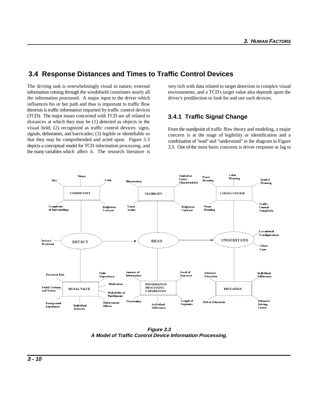# **3.4 Response Distances and Times to Traffic Control Devices**

The driving task is overwhelmingly visual in nature; external very rich with data related to target detection in complex visual information coming through the windshield constitutes nearly all environments, and a TCD's target value also depends upon the the information processed. A major input to the driver which driver's predilection to look for and use such devices. influences his or her path and thus is important to traffic flow theorists is traffic information imparted by traffic control devices (TCD). The major issues concerned with TCD are all related to distances at which they may be (1) detected as objects in the visual field; (2) recognized as traffic control devices: signs, signals, delineators, and barricades; (3) legible or identifiable so that they may be comprehended and acted upon. Figure 3.3 depicts a conceptual model for TCD information processing, and the many variables which affect it. The research literature is

# **3.4.1 Traffic Signal Change**

From the standpoint of traffic flow theory and modeling, a major concern is at the stage of legibility or identification and a combination of "read" and "understand" in the diagram in Figure 3.3. One of the most basic concerns is driver response or lag to



**Figure 3.3 A Model of Traffic Control Device Information Processing.**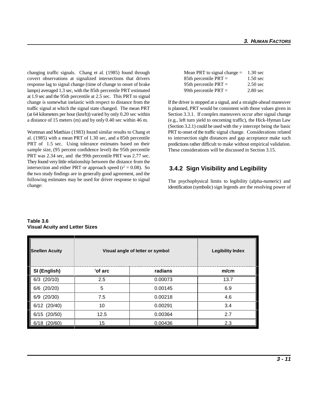changing traffic signals. Chang et al. (1985) found through covert observations at signalized intersections that drivers response lag to signal change (time of change to onset of brake lamps) averaged 1.3 sec, with the 85th percentile PRT estimated at 1.9 sec and the 95th percentile at 2.5 sec. This PRT to signal change is somewhat inelastic with respect to distance from the If the driver is stopped at a signal, and a straight-ahead maneuver traffic signal at which the signal state changed. The mean PRT is planned, PRT would be consistent with those values given in (at 64 kilometers per hour (km/h)) varied by only 0.20 sec within Section 3.3.1. If complex maneuvers occur after signal change a distance of 15 meters (m) and by only 0.40 sec within 46 m. (e.g., left turn yield to oncoming traffic), the Hick-Hyman Law

Wortman and Matthias (1983) found similar results to Chang et al. (1985) with a mean PRT of 1.30 sec, and a 85th percentile PRT of 1.5 sec. Using tolerance estimates based on their sample size, (95 percent confidence level) the 95th percentile PRT was 2.34 sec, and the 99th percentile PRT was 2.77 sec. They found very little relationship between the distance from the intersection and either PRT or approach speed ( $r^2 = 0.08$ ). So the two study findings are in generally good agreement, and the following estimates may be used for driver response to signal change:

| Mean PRT to signal change $=$ | $1.30 \text{ sec}$ |
|-------------------------------|--------------------|
| 85th percentile $PRT =$       | $1.50$ sec         |
| 95th percentile $PRT =$       | $2.50$ sec         |
| 99th percentile $PRT =$       | $2.80$ sec         |

(Section 3.2.1) could be used with the *y* intercept being the basic PRT to onset of the traffic signal change. Considerations related to intersection sight distances and gap acceptance make such predictions rather difficult to make without empirical validation. These considerations will be discussed in Section 3.15.

# **3.4.2 Sign Visibility and Legibility**

The psychophysical limits to legibility (alpha-numeric) and identification (symbolic) sign legends are the resolving power of

| <b>Snellen Acuity</b> |         | Visual angle of letter or symbol | <b>Legibility Index</b> |
|-----------------------|---------|----------------------------------|-------------------------|
| SI (English)          | 'of arc | radians                          | m/cm                    |
| (20/10)<br>6/3        | 2.5     | 0.00073                          | 13.7                    |
| (20/20)<br>6/6        | 5       | 0.00145                          | 6.9                     |
| (20/30)<br>6/9        | 7.5     | 0.00218                          | 4.6                     |
| 6/12 (20/40)          | 10      | 0.00291                          | 3.4                     |
| 6/15<br>(20/50)       | 12.5    | 0.00364                          | 2.7                     |
| 8<br>(20/60)<br>6.    | 15      | 0.00436                          | 2.3                     |

**Table 3.6 Visual Acuity and Letter Sizes**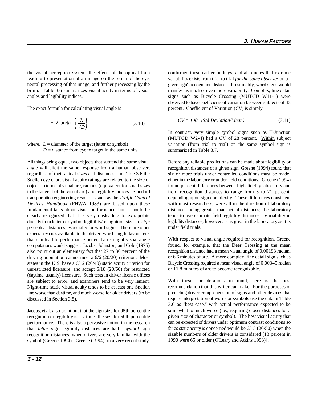the visual perception system, the effects of the optical train confirmed these earlier findings, and also notes that extreme leading to presentation of an image on the retina of the eye, neural processing of that image, and further processing by the brain. Table 3.6 summarizes visual acuity in terms of visual angles and legibility indices.

The exact formula for calculating visual angle is

$$
\Delta = 2 \arctan\left(\frac{L}{2D}\right) \tag{3.10}
$$

where,  $L =$  diameter of the target (letter or symbol)  $D =$  distance from eye to target in the same units

All things being equal, two objects that subtend the same visual angle will elicit the same response from a human observer, regardless of their actual sizes and distances. In Table 3.6 the Snellen eye chart visual acuity ratings are related to the size of objects in terms of visual arc, radians (equivalent for small sizes to the tangent of the visual arc) and legibility indices. Standard transportation engineering resources such as the *Traffic Control* depending upon sign complexity. These differences consistent *Devices Handbook* (FHWA 1983) are based upon these fundamental facts about visual performance, but it should be clearly recognized that it is very misleading to extrapolate directly from letter or symbol legibility/recognition sizes to *sign* perceptual distances, especially for word signs. There are other expectancy cues available to the driver, word length, layout, etc. that can lead to performance better than straight visual angle computations would suggest. Jacobs, Johnston, and Cole (1975) also point out an elementary fact that 27 to 30 percent of the driving population cannot meet a 6/6 (20/20) criterion. Most states in the U.S. have a 6/12 (20/40) static acuity criterion for unrestricted licensure, and accept 6/18 (20/60) for restricted (daytime, usually) licensure. Such tests in driver license offices are subject to error, and examiners tend to be very lenient. Night-time static visual acuity tends to be at least one Snellen line worse than daytime, and much worse for older drivers (to be discussed in Section 3.8).

Jacobs, et al. also point out that the sign size for 95th percentile recognition or legibility is 1.7 times the size for 50th percentile performance. There is also a pervasive notion in the research that *letter* sign legibility distances are half *symbol* sign recognition distances, when drivers are very familiar with the symbol (Greene 1994). Greene (1994), in a very recent study,

variability exists from trial to trial *for the same observer* on a given sign's recognition distance. Presumably, word signs would manifest as much or even more variability. Complex, fine detail signs such as Bicycle Crossing (MUTCD W11-1) were observed to have coefficients of variation between subjects of 43 percent. Coefficient of Variation (*CV*) is simply:<br>  $CV = 100 \cdot (Std Deviation/Mean)$  (3.11)

$$
CV = 100 \cdot (Std Deviation/Mean)
$$
 (3.11)

In contrast, very simple symbol signs such as T-Junction (MUTCD W2-4) had a CV of 28 percent. Within subject variation (from trial to trial) on the same symbol sign is summarized in Table 3.7.

Before any reliable predictions can be made about legibility or recognition distances of a given sign, Greene (1994) found that six or more trials under controlled conditions must be made, either in the laboratory or under field conditions. Greene (1994) found percent differences between high-fidelity laboratory and field recognition distances to range from 3 to 21 percent, with most researchers, were all in the direction of laboratory distances being greater than actual distances; the laboratory tends to overestimate field legibility distances. Variability in legibility distances, however, is as great in the laboratory as it is under field trials.

With respect to visual angle required for recognition, Greene found, for example, that the Deer Crossing at the mean recognition distance had a mean visual angle of 0.00193 radian, or 6.6 minutes of arc. A more complex, fine detail sign such as Bicycle Crossing required a mean visual angle of 0.00345 radian or 11.8 minutes of arc to become recognizable.

With these considerations in mind, here is the best recommendation that this writer can make. For the purposes of predicting driver comprehension of signs and other devices that require interpretation of words or symbols use the data in Table 3.6 as "best case," with actual performance expected to be somewhat to much worse (i.e., requiring closer distances for a given size of character or symbol). The best visual acuity that can be expected of drivers under optimum contrast conditions so far as static acuity is concerned would be 6/15 (20/50) when the sizable numbers of older drivers is considered [13 percent in 1990 were 65 or older (O'Leary and Atkins 1993)].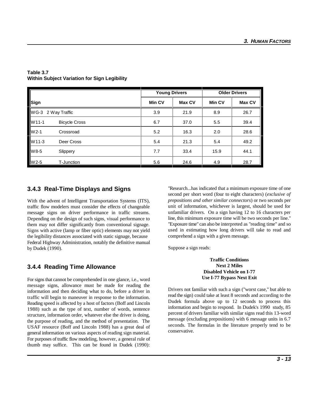| Sign               |                      | <b>Young Drivers</b> |               | <b>Older Drivers</b> |        |
|--------------------|----------------------|----------------------|---------------|----------------------|--------|
|                    |                      | <b>Min CV</b>        | <b>Max CV</b> | <b>Min CV</b>        | Max CV |
| WG-3 2 Way Traffic |                      | 3.9                  | 21.9          | 8.9                  | 26.7   |
| W11-1              | <b>Bicycle Cross</b> | 6.7                  | 37.0          | 5.5                  | 39.4   |
| $W2-1$             | Crossroad            | 5.2                  | 16.3          | 2.0                  | 28.6   |
| W11-3              | Deer Cross           | 5.4                  | 21.3          | 5.4                  | 49.2   |
| W8-5               | Slippery             | 7.7                  | 33.4          | 15.9                 | 44.1   |
| $W2-5$             | T-Junction           | 5.6                  | 24.6          | 4.9                  | 28.7   |

#### **Table 3.7 Within Subject Variation for Sign Legibility**

# **3.4.3 Real-Time Displays and Signs**

With the advent of Intelligent Transportation Systems (ITS), traffic flow modelers must consider the effects of changeable message signs on driver performance in traffic streams. Depending on the design of such signs, visual performance to them may not differ significantly from conventional signage. Signs with active (lamp or fiber optic) elements may not yield the legibility distances associated with static signage, because Federal Highway Administration, notably the definitive manual by Dudek (1990).

## **3.4.4 Reading Time Allowance**

For signs that cannot be comprehended in one glance, i.e., word message signs, allowance must be made for reading the information and then deciding what to do, before a driver in traffic will begin to maneuver in response to the information. Reading speed is affected by a host of factors (Boff and Lincoln 1988) such as the type of text, number of words, sentence structure, information order, whatever else the driver is doing, the purpose of reading, and the method of presentation. The USAF resource (Boff and Lincoln 1988) has a great deal of general information on various aspects of reading sign material. For purposes of traffic flow modeling, however, a general rule of thumb may suffice. This can be found in Dudek (1990):

"Research...has indicated that a minimum exposure time of one second per short word (four to eight characters) (*exclusive of prepositions and other similar connectors*) or two seconds per unit of information, whichever is largest, should be used for unfamiliar drivers. On a sign having 12 to 16 characters per line, this minimum exposure time will be two seconds per line." "Exposure time" can also be interpreted as "reading time" and so used in estimating how long drivers will take to read and comprehend a sign with a given message.

Suppose a sign reads:

#### **Traffic Conditions Next 2 Miles Disabled Vehicle on I-77 Use I-77 Bypass Next Exit**

Drivers not familiar with such a sign ("worst case," but able to read the sign) could take at least 8 seconds and according to the Dudek formula above up to 12 seconds to process this information and begin to respond. In Dudek's 1990 study, 85 percent of drivers familiar with similar signs read this 13-word message (excluding prepositions) with 6 message units in 6.7 seconds. The formulas in the literature properly tend to be conservative.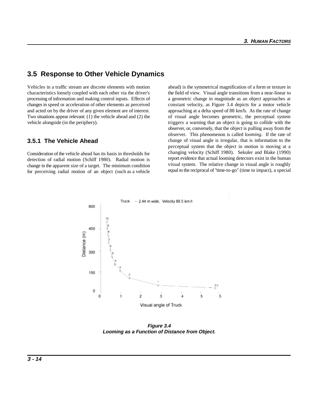# **3.5 Response to Other Vehicle Dynamics**

characteristics loosely coupled with each other via the driver's the field of view. Visual angle transitions from a near-linear to processing of information and making control inputs. Effects of a geometric change in magnitude as an object approaches at changes in speed or acceleration of other elements as perceived constant velocity, as Figure 3.4 depicts for a motor vehicle and acted on by the driver of any given element are of interest. approaching at a delta speed of 88 km/h. As the rate of change Two situations appear relevant: (1) the vehicle ahead and (2) the of visual angle becomes geometric, the perceptual system vehicle alongside (in the periphery). triggers a warning that an object is going to collide with the

#### **3.5.1 The Vehicle Ahead**

Consideration of the vehicle ahead has its basis in thresholds for detection of radial motion (Schiff 1980). Radial motion is change in the apparent size of a target. The minimum condition for perceiving radial motion of an object (such as a vehicle

Vehicles in a traffic stream are discrete elements with motion ahead) is the symmetrical magnification of a form or texture in observer, or, conversely, that the object is pulling away from the observer. This phenomenon is called *looming*. If the rate of change of visual angle is irregular, that is information to the perceptual system that the object in motion is moving at a changing velocity (Schiff 1980). Sekuler and Blake (1990) report evidence that actual looming detectors exist in the human visual system. The relative change in visual angle is roughly equal to the reciprocal of "time-to-go" (time to impact), a special



**Figure 3.4 Looming as a Function of Distance from Object.**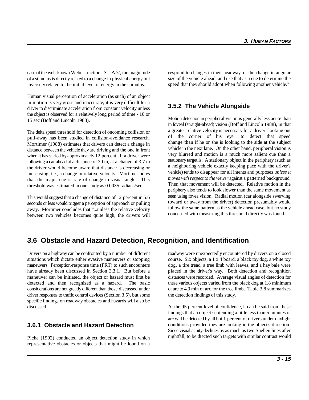case of the well-known Weber fraction,  $S = \Delta I/I$ , the magnitude of a stimulus is directly related to a change in physical energy but inversely related to the initial level of energy in the stimulus.

Human visual perception of acceleration (as such) of an object in motion is very gross and inaccurate; it is very difficult for a driver to discriminate acceleration from constant velocity unless the object is observed for a relatively long period of time - 10 or 15 sec (Boff and Lincoln 1988).

The delta speed threshold for detection of oncoming collision or pull-away has been studied in collision-avoidance research. Mortimer (1988) estimates that drivers can detect a change in distance between the vehicle they are driving and the one in front when it has varied by approximately 12 percent. If a driver were following a car ahead at a distance of 30 m, at a change of 3.7 m the driver would become aware that distance is decreasing or increasing, i.e., a change in relative velocity. Mortimer notes that the major cue is rate of change in visual angle. This threshold was estimated in one study as 0.0035 radians/sec.

This would suggest that a change of distance of 12 percent in 5.6 seconds or less would trigger a perception of approach or pulling away. Mortimer concludes that "...unless the relative velocity between two vehicles becomes quite high, the drivers will respond to changes in their headway, or the change in angular size of the vehicle ahead, and use that as a cue to determine the speed that they should adopt when following another vehicle."

#### **3.5.2 The Vehicle Alongside**

Motion detection in peripheral vision is generally less acute than in foveal (straight-ahead) vision (Boff and Lincoln 1988), in that a greater relative velocity is necessary for a driver "looking out of the corner of his eye" to detect that speed change than if he or she is looking to the side at the subject vehicle in the next lane. On the other hand, peripheral vision is very blurred and motion is a much more salient cue than a stationary target is. A stationary object in the periphery (such as a neighboring vehicle exactly keeping pace with the driver's vehicle) tends to disappear for all intents and purposes *unless it moves with respect to the viewer* against a patterned background. Then that movement will be detected. Relative motion in the periphery also tends to look slower than the same movement as seen using fovea vision. Radial motion (car alongside swerving toward or away from the driver) detection presumably would follow the same pattern as the vehicle ahead case, but no study concerned with measuring this threshold directly was found.

## **3.6 Obstacle and Hazard Detection, Recognition, and Identification**

situations which dictate either evasive maneuvers or stopping course. Six objects, a 1 x 4 board, a black toy dog, a white toy maneuvers. Perception-response time (PRT) to such encounters dog, a tire tread, a tree limb with leaves, and a hay bale were have already been discussed in Section 3.3.1. But before a placed in the driver's way. Both detection and recognition maneuver can be initiated, the object or hazard must first be distances were recorded. Average visual angles of detection for detected and then recognized as a hazard. The basic these various objects varied from the black dog at 1.8 minimum considerations are not greatly different than those discussed under of arc to 4.9 min of arc for the tree limb. Table 3.8 summarizes driver responses to traffic control devices (Section 3.5), but some the detection findings of this study. specific findings on roadway obstacles and hazards will also be discussed. At the 95 percent level of confidence, it can be said from these

#### **3.6.1 Obstacle and Hazard Detection**

Picha (1992) conducted an object detection study in which representative obstacles or objects that might be found on a

Drivers on a highway can be confronted by a number of different roadway were unexpectedly encountered by drivers on a closed

findings that an object subtending a little less than 5 minutes of arc will be detected by all but 1 percent of drivers under daylight conditions provided they are looking in the object's direction. Since visual acuity declines by as much as two Snellen lines after nightfall, to be dtected such targets with similar contrast would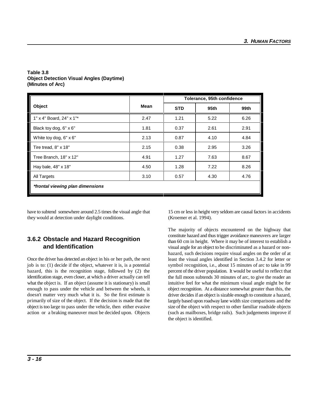|                                  |      | Tolerance, 95th confidence |      |      |  |
|----------------------------------|------|----------------------------|------|------|--|
| Object                           | Mean | <b>STD</b>                 | 95th | 99th |  |
| 1" x 4" Board, 24" x 1"*         | 2.47 | 1.21                       | 5.22 | 6.26 |  |
| Black toy dog, 6" x 6"           | 1.81 | 0.37                       | 2.61 | 2.91 |  |
| White toy dog, $6" \times 6"$    | 2.13 | 0.87                       | 4.10 | 4.84 |  |
| Tire tread, 8" x 18"             | 2.15 | 0.38                       | 2.95 | 3.26 |  |
| Tree Branch, 18" x 12"           | 4.91 | 1.27                       | 7.63 | 8.67 |  |
| Hay bale, 48" x 18"              | 4.50 | 1.28                       | 7.22 | 8.26 |  |
| All Targets                      | 3.10 | 0.57                       | 4.30 | 4.76 |  |
| *frontal viewing plan dimensions |      |                            |      |      |  |

#### **Table 3.8 Object Detection Visual Angles (Daytime) (Minutes of Arc)**

they would at detection under daylight conditions. (Kroemer et al. 1994).

## **3.6.2 Obstacle and Hazard Recognition and Identification**

Once the driver has detected an object in his or her path, the next job is to: (1) decide if the object, whatever it is, is a potential hazard, this is the recognition stage, followed by (2) the identification stage, even closer, at which a driver actually can tell what the object is. If an object (assume it is stationary) is small enough to pass under the vehicle and between the wheels, it doesn't matter very much what it is. So the first estimate is primarily of size of the object. If the decision is made that the object is too large to pass under the vehicle, then either evasive action or a braking maneuver must be decided upon. Objects

have to subtend somewhere around 2.5 times the visual angle that 15 cm or less in height very seldom are causal factors in accidents

The majority of objects encountered on the highway that constitute hazard and thus trigger avoidance maneuvers are larger than 60 cm in height. Where it may be of interest to establish a visual angle for an object to be discriminated as a hazard or nonhazard, such decisions require visual angles on the order of at least the visual angles identified in Section 3.4.2 for letter or symbol recognition, i.e., about 15 minutes of arc to take in 99 percent of the driver population. It would be useful to reflect that the full moon subtends 30 minutes of arc, to give the reader an intuitive feel for what the minimum visual angle might be for object recognition. At a distance somewhat greater than this, the driver decides if an object is sizable enough to constitute a hazard, largely based upon roadway lane width size comparisons and the size of the object with respect to other familiar roadside objects (such as mailboxes, bridge rails). Such judgements improve if the object is identified.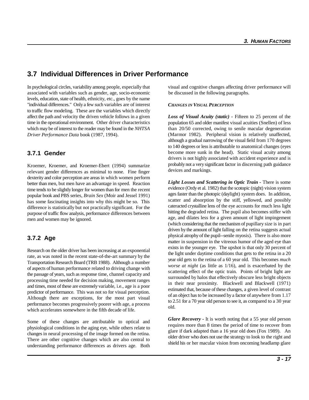# **3.7 Individual Differences in Driver Performance**

associated with variables such as gender, age, socio-economic be discussed in the following paragraphs. levels, education, state of health, ethnicity, etc., goes by the name "individual differences." Only a few such variables are of interest to traffic flow modeling. These are the variables which directly affect the path and velocity the driven vehicle follows in a given time in the operational environment. Other driver characteristics which may be of interest to the reader may be found in the *NHTSA* than 20/50 corrected, owing to senile macular degeneration *Driver Performance Data* book (1987, 1994).

#### **3.7.1 Gender**

Kroemer, Kroemer, and Kroemer-Ebert (1994) summarize relevant gender differences as minimal to none. Fine finger dexterity and color perception are areas in which women perform better than men, but men have an advantage in speed. Reaction time tends to be slightly longer for women than for men the recent popular book and PBS series, *Brain Sex* (Moir and Jessel 1991) has some fascinating insights into why this might be so. This difference is statistically but not practically significant. For the purpose of traffic flow analysis, performance differences between men and women may be ignored.

## **3.7.2 Age**

Research on the older driver has been increasing at an exponential rate, as was noted in the recent state-of-the-art summary by the Transportation Research Board (TRB 1988). Although a number of aspects of human performance related to driving change with the passage of years, such as response time, channel capacity and processing time needed for decision making, movement ranges and times, most of these are extremely variable, i.e., age is a poor predictor of performance. This was not so for visual perception. Although there are exceptions, for the most part visual performance becomes progressively poorer with age, a process which accelerates somewhere in the fifth decade of life.

Some of these changes are attributable to optical and physiological conditions in the aging eye, while others relate to changes in neural processing of the image formed on the retina. There are other cognitive changes which are also central to understanding performance differences as drivers age. Both

In psychological circles, variability among people, especially that visual and cognitive changes affecting driver performance will

#### *CHANGES IN VISUAL PERCEPTION*

*Loss of Visual Acuity (static) -* Fifteen to 25 percent of the population 65 and older manifest visual acuities (Snellen) of less (Marmor 1982). Peripheral vision is relatively unaffected, although a gradual narrowing of the visual field from 170 degrees to 140 degrees or less is attributable to anatomical changes (eyes become more sunk in the head). Static visual acuity among drivers is not highly associated with accident experience and is probably not a very significant factor in discerning path guidance devices and markings.

Light Losses and Scattering in Optic Train - There is some evidence (Ordy et al. 1982) that the scotopic (night) vision system ages faster than the photopic (daylight) system does. In addition, scatter and absorption by the stiff, yellowed, and possibly cateracted crystalline lens of the eye accounts for much less light hitting the degraded retina. The pupil also becomes stiffer with age, and dilates less for a given amount of light impingement (which considering that the mechanism of pupillary size is in part driven by the amount of light falling on the retina suggests actual physical atrophy of the pupil--senile myosis). There is also more matter in suspension in the vitreous humor of the aged eye than exists in the younger eye. The upshot is that only 30 percent of the light under daytime conditions that gets to the retina in a 20 year old gets to the retina of a 60 year old. This becomes *much worse at night* (as little as 1/16), and is exacerbated by the scattering effect of the optic train. Points of bright light are surrounded by halos that effectively obscure less bright objects in their near proximity. Blackwell and Blackwell (1971) estimated that, because of these changes, a given level of contrast of an object has to be increased by a factor of anywhere from 1.17 to 2.51 for a 70 year old person to see it, as compared to a 30 year old.

*Glare Recovery -* It is worth noting that a 55 year old person requires more than 8 times the period of time to recover from glare if dark adapted than a 16 year old does (Fox 1989). An older driver who does not use the strategy to look to the right and shield his or her macular vision from oncoming headlamp glare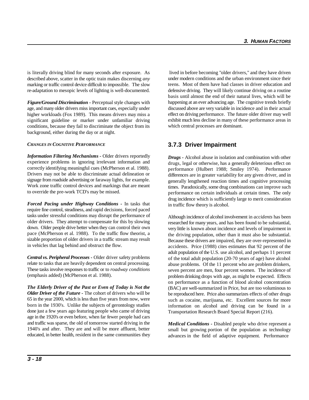is literally driving blind for many seconds after exposure. As lived in before becoming "older drivers," and they have driven described above, scatter in the optic train makes discerning *any* marking or traffic control device difficult to impossible. The slow re-adaptation to mesopic levels of lighting is well-documented.

*Figure/Ground Discrimination -* Perceptual style changes with age, and many older drivers miss important cues, especially under higher workloads (Fox 1989). This means drivers may miss a significant guideline or marker under unfamiliar driving conditions, because they fail to discriminate the object from its background, either during the day or at night.

#### *CHANGES IN COGNITIVE PERFORMANCE*

*Information Filtering Mechanisms -* Older drivers reportedly experience problems in ignoring irrelevant information and correctly identifying meaningful cues (McPherson et al. 1988). Drivers may not be able to discriminate actual delineation or signage from roadside advertising or faraway lights, for example. Work zone traffic control devices and markings that are meant to override the pre-work TCD's may be missed.

*Forced Pacing under Highway Conditions -* In tasks that require fine control, steadiness, and rapid decisions, forced paced tasks under stressful conditions may disrupt the performance of older drivers. They attempt to compensate for this by slowing down. Older people drive better when they can control their own pace (McPherson et al. 1988). To the traffic flow theorist, a sizable proportion of older drivers in a traffic stream may result in vehicles that lag behind and obstruct the flow.

*Central vs. Peripheral Processes -* Older driver safety problems relate to tasks that are heavily dependent on central processing. These tasks involve responses to traffic or to *roadway conditions* (emphasis added) (McPherson et al. 1988).

*The Elderly Driver of the Past or Even of Today is Not the Older Driver of the Future -* The cohort of drivers who will be 65 in the year 2000, which is less than five years from now, were born in the 1930's. Unlike the subjects of gerontology studies done just a few years ago featuring people who came of driving age in the 1920's or even before, when far fewer people had cars and traffic was sparse, the old of tomorrow started driving in the 1940's and after. They are and will be more affluent, better educated, in better health, resident in the same communities they under modern conditions and the urban environment since their teens. Most of them have had classes in driver education and defensive driving. They will likely continue driving on a routine basis until almost the end of their natural lives, which will be happening at an ever advancing age. The cognitive trends briefly discussed above are very variable in incidence and in their actual effect on driving performance. The future older driver may well exhibit much less decline in many of these performance areas in which central processes are dominant.

## **3.7.3 Driver Impairment**

*Drugs -* Alcohol abuse in isolation and combination with other drugs, legal or otherwise, has a generally deleterious effect on performance (Hulbert 1988; Smiley 1974). Performance differences are in greater variability for any given driver, and in generally lengthened reaction times and cognitive processing times. Paradoxically, some drug combinations can improve such performance on certain individuals at certain times. The only drug incidence which is sufficiently large to merit consideration in traffic flow theory is alcohol.

Although incidence of alcohol involvement in *accidents* has been researched for many years, and has been found to be substantial, very little is known about incidence and levels of impairment in the driving population, other than it must also be substantial. Because these drivers are impaired, they are over-represented in accidents. Price (1988) cites estimates that 92 percent of the adult population of the U.S. use alcohol, and perhaps 11 percent of the total adult population (20-70 years of age) have alcohol abuse problems. Of the 11 percent who are problem drinkers, seven percent are men, four percent women. The incidence of problem drinking drops with age, as might be expected. Effects on performance as a function of blood alcohol concentration (BAC) are well-summarized in Price, but are too voluminous to be reproduced here. Price also summarizes effects of other drugs such as cocaine, marijuana, etc. Excellent sources for more information on alcohol and driving can be found in a Transportation Research Board Special Report (216).

*Medical Conditions -* Disabled people who drive represent a small but growing portion of the population as technology advances in the field of adaptive equipment. Performance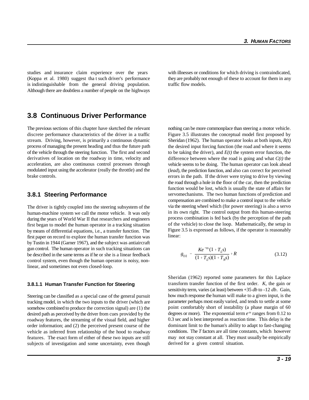studies and insurance claim experience over the years with illnesses or conditions for which driving is contraindicated, (Koppa et al. 1980) suggest tha t such driver's performance they are probably not enough of these to account for them in any is indistinguishable from the general driving population. traffic flow models. Although there are doubtless a number of people on the highways

# **3.8 Continuous Driver Performance**

stream. Driving, however, is primarily a continuous dynamic process of managing the present heading and thus the future path of the vehicle through the steering function. The first and second derivatives of location on the roadway in time, velocity and acceleration, are also continuous control processes through modulated input using the accelerator (really the throttle) and the brake controls.

#### **3.8.1 Steering Performance**

The driver is tightly coupled into the steering subsystem of the human-machine system we call the motor vehicle. It was only during the years of World War II that researchers and engineers first began to model the human operator in a tracking situation by means of differential equations, i.e., a transfer function. The first paper on record to explore the human transfer function was by Tustin in 1944 (Garner 1967), and the subject was antiaircraft gun control. The human operator in such tracking situations can be described in the same terms as if he or she is a linear feedback control system, even though the human operator is noisy, nonlinear, and sometimes not even closed-loop.

#### **3.8.1.1 Human Transfer Function for Steering**

Steering can be classified as a special case of the general pursuit tracking model, in which the two inputs to the driver (which are somehow combined to produce the correction signal) are (1) the desired path as perceived by the driver from cues provided by the roadway features, the streaming of the visual field, and higher order information; and (2) the perceived present course of the vehicle as inferred from relationship of the hood to roadway features. The exact form of either of these two inputs are still subjects of investigation and some uncertainty, even though

The previous sections of this chapter have sketched the relevant nothing can be more commonplace than steering a motor vehicle. discrete performance characteristics of the driver in a traffic Figure 3.5 illustrates the conceptual model first proposed by Sheridan (1962). The human operator looks at both inputs, *R(t)* the desired input forcing function (the road and where it seems to be taking the driver), and  $E(t)$  the system error function, the difference between where the road is going and what *C(t)* the vehicle seems to be doing. The human operator can look ahead (*lead*), the prediction function, and also can correct for perceived errors in the path. If the driver were trying to drive by viewing the road through a hole in the floor of the car, then the prediction function would be lost, which is usually the state of affairs for servomechanisms. The two human functions of prediction and compensation are combined to make a control input to the vehicle via the steering wheel which (for power steering) is also a servo in its own right. The control output from this human-steering process combination is fed back (by the perception of the path of the vehicle) to close the loop. Mathematically, the setup in Figure 3.5 is expressed as follows, if the operator is reasonably linear:

$$
g_{(s)} = \frac{Ke^{-ts}(1+T_Ls)}{(1+T_Ls)(1+T_Ns)} + R
$$
 (3.12)

Sheridan (1962) reported some parameters for this Laplace transform transfer function of the first order. *K*, the gain or sensitivity term, varies (at least) between +35 *db* to -12 *db*. Gain, how much response the human will make to a given input, is the parameter perhaps most easily varied, and tends to settle at some point comfortably short of instability (a phase margin of 60 degrees or more). The exponential term  $e^{-ts}$  ranges from 0.12 to 0.3 sec and is best interpreted as reaction time. This delay is the dominant limit to the human's ability to adapt to fast-changing conditions. The *T* factors are all time constants, which however may not stay constant at all. They must usually be empirically derived for a given control situation.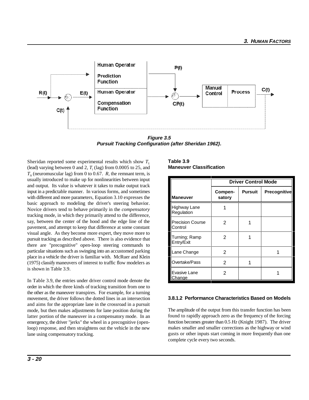

**Figure 3.5 Pursuit Tracking Configuration (after Sheridan 1962).**

Sheridan reported some experimental results which show  $T_L$ (lead) varying between 0 and 2,  $T<sub>i</sub>$  (lag) from 0.0005 to 25, and  $T<sub>N</sub>$  (neuromuscular lag) from 0 to 0.67. *R*, the remnant term, is usually introduced to make up for nonlinearities between input and output. Its value is whatever it takes to make output track input in a predictable manner. In various forms, and sometimes with different and more parameters, Equation 3.10 expresses the basic approach to modeling the driver's steering behavior. Novice drivers tend to behave primarily in the *compensatory* tracking mode, in which they primarily attend to the difference, say, between the center of the hood and the edge line of the pavement, and attempt to keep that difference at some constant visual angle. As they become more expert, they move more to pursuit tracking as described above. There is also evidence that there are "precognitive" open-loop steering commands to particular situations such as swinging into an accustomed parking place in a vehicle the driver is familiar with. McRuer and Klein (1975) classify maneuvers of interest to traffic flow modelers as is shown in Table 3.9.

In Table 3.9, the entries under driver control mode denote the order in which the three kinds of tracking transition from one to the other as the maneuver transpires. For example, for a turning movement, the driver follows the dotted lines in an intersection and aims for the appropriate lane in the crossroad in a pursuit mode, but then makes adjustments for lane position during the latter portion of the maneuver in a compensatory mode. In an emergency, the driver "jerks" the wheel in a precognitive (openloop) response, and then straightens out the vehicle in the new lane using compensatory tracking.

#### **Table 3.9 Maneuver Classification**

|                                    | <b>Driver Control Mode</b> |                |                     |  |  |
|------------------------------------|----------------------------|----------------|---------------------|--|--|
| Maneuver                           | Compen-<br>satory          | <b>Pursuit</b> | <b>Precognitive</b> |  |  |
| <b>Highway Lane</b><br>Regulation  |                            |                |                     |  |  |
| <b>Precision Course</b><br>Control | 2                          |                |                     |  |  |
| Turning; Ramp<br>Entry/Exit        | 2                          |                |                     |  |  |
| Lane Change                        | 2                          |                |                     |  |  |
| Overtake/Pass                      | 2                          |                |                     |  |  |
| Evasive Lane<br><u>Change</u>      | 2                          |                |                     |  |  |

#### **3.8.1.2 Performance Characteristics Based on Models**

The amplitude of the output from this transfer function has been found to rapidly approach zero as the frequency of the forcing function becomes greater than 0.5 *Hz* (Knight 1987). The driver makes smaller and smaller corrections as the highway or wind gusts or other inputs start coming in more frequently than one complete cycle every two seconds.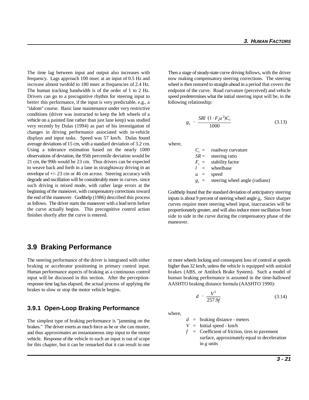frequency. Lags approach 100 msec at an input of 0.5 Hz and now making compensatory steering corrections. The steering increase almost twofold to 180 msec at frequencies of 2.4 Hz. wheel is then restored to straight-ahead in a period that covers the The human tracking bandwidth is of the order of 1 to 2 Hz. endpoint of the curve. Road curvature (perceived) and vehicle Drivers can go to a precognitive rhythm for steering input to speed predetermines what the initial steering input will be, in the better this performance, if the input is very predictable, e.g., a following relationship: "slalom" course. Basic lane maintenance under very restrictive conditions (driver was instructed to keep the left wheels of a vehicle on a painted line rather than just lane keep) was studied very recently by Dulas (1994) as part of his investigation of changes in driving performance associated with in-vehicle displays and input tasks. Speed was 57 km/h. Dulas found average deviations of 15 cm, with a standard deviation of 3.2 cm. where, Using a tolerance estimation based on the nearly 1000 observations of deviation, the 95th percentile deviation would be 21 cm, the 99th would be 23 cm. Thus drivers can be expected to weave back and forth in a lane in straightaway driving in an envelope of +/- 23 cm or 46 cm across. Steering accuracy with degrade and oscillation will be considerably more in curves. since such driving is mixed mode, with rather large errors at the beginning of the maneuver, with compensatory corrections toward the end of the maneuver. Godthelp (1986) described this process as follows. The driver starts the maneuver with a lead term before the curve actually begins. This precognitive control action finishes shortly after the curve is entered.

## **3.9 Braking Performance**

input will be discussed in this section. After the perception- human braking performance is assumed in the time-hallowed response time lag has elapsed, the actual process of applying the AASHTO braking distance formula (AASHTO 1990): brakes to slow or stop the motor vehicle begins.

#### **3.9.1 Open-Loop Braking Performance**

The simplest type of braking performance is "jamming on the brakes." The driver exerts as much force as he or she can muster, and thus approximates an instantaneous step input to the motor vehicle. Response of the vehicle to such an input is out of scope for this chapter, but it can be remarked that it can result in one

The time lag between input and output also increases with Then a stage of steady-state curve driving follows, with the driver

$$
g_s = \frac{SRl (1 + F_s u^2)C_r}{1000}
$$
 (3.13)

 $C_r$  = roadway curvature<br>*SR* = steering ratio steering ratio  $F_s$  = stability factor<br> $l =$  wheelbase  $w$  heelbase  $u = speed$  $g<sub>s</sub>$  = steering wheel angle (radians)

Godthelp found that the standard deviation of anticipatory steering inputs is about 9 percent of steering wheel angle *g .* Since sharper *<sup>s</sup>* curves require more steering wheel input, inaccuracies will be proportionately greater, and will also induce more oscillation from side to side in the curve during the compensatory phase of the maneuver.

The steering performance of the driver is integrated with either or more wheels locking and consequent loss of control at speeds braking or accelerator positioning in primary control input. higher than 32 km/h, unless the vehicle is equipped with antiskid Human performance aspects of braking as a continuous control brakes (ABS, or Antilock Brake System). Such a model of

$$
d = \frac{V^2}{257.9f}
$$
 (3.14)

where,

*d* = braking distance - meters

- $V =$  Initial speed km/h
- $f =$  Coefficient of friction, tires to pavement surface, approximately equal to deceleration in *g* units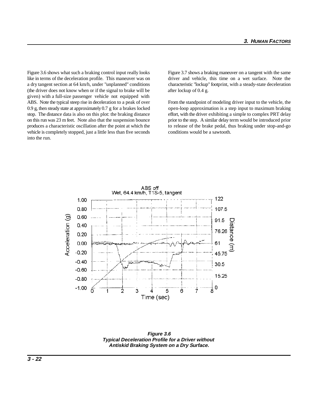Figure 3.6 shows what such a braking control input really looks Figure 3.7 shows a braking maneuver on a tangent with the same like in terms of the deceleration profile. This maneuver was on driver and vehicle, this time on a wet surface. Note the a dry tangent section at 64 km/h, under "unplanned" conditions characteristic "lockup" footprint, with a steady-state deceleration (the driver does not know when or if the signal to brake will be after lockup of  $0.4$  g. given) with a full-size passenger vehicle not equipped with ABS. Note the typical steep rise in deceleration to a peak of over From the standpoint of modeling driver input to the vehicle, the produces a characteristic oscillation after the point at which the to release of the brake pedal, thus braking under stop-and-go vehicle is completely stopped, just a little less than five seconds conditions would be a sawtooth. into the run.

0.9 g, then steady state at approximately 0.7 g for a brakes locked open-loop approximation is a step input to maximum braking stop. The distance data is also on this plot: the braking distance effort, with the driver exhibiting a simple to complex PRT delay on this run was 23 m feet. Note also that the suspension bounce prior to the step. A similar delay term would be introduced prior



**Figure 3.6 Typical Deceleration Profile for a Driver without Antiskid Braking System on a Dry Surface.**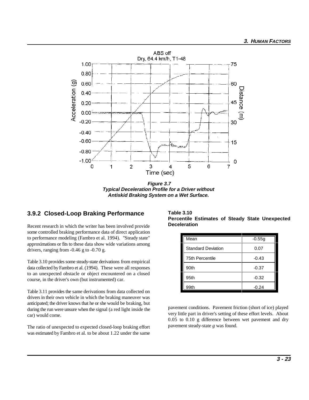

**Figure 3.7 Typical Deceleration Profile for a Driver without Antiskid Braking System on a Wet Surface.** 

## **3.9.2 Closed-Loop Braking Performance**

Recent research in which the writer has been involved provide some controlled braking performance data of direct application to performance modeling (Fambro et al. 1994). "Steady state" approximations or fits to these data show wide variations among drivers, ranging from -0.46 g to -0.70 g.

Table 3.10 provides some steady-state derivations from empirical data collected by Fambro et al. (1994). These were all responses to an unexpected obstacle or object encountered on a closed course, in the driver's own (but instrumented) car.

Table 3.11 provides the same derivations from data collected on drivers in their own vehicle in which the braking maneuver was anticipated; the driver knows that he or she would be braking, but during the run were unsure when the signal (a red light inside the car) would come.

The ratio of unexpected to expected closed-loop braking effort was estimated by Fambro et al. to be about 1.22 under the same

**Table 3.10 Percentile Estimates of Steady State Unexpected Deceleration**

| Mean                      | $-0.55g$ |  |
|---------------------------|----------|--|
| <b>Standard Deviation</b> | 0.07     |  |
| 75th Percentile           | $-0.43$  |  |
| 90th                      | $-0.37$  |  |
| 95th                      | $-0.32$  |  |
| 99th                      | $-0.24$  |  |

pavement conditions. Pavement friction (short of ice) played very little part in driver's setting of these effort levels. About 0.05 to 0.10 g difference between wet pavement and dry pavement steady-state *g* was found.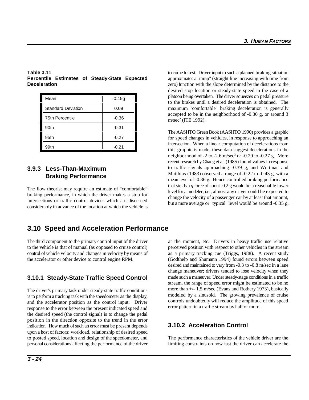| Mean                      | $-0.45g$ |
|---------------------------|----------|
| <b>Standard Deviation</b> | 0.09     |
| <b>75th Percentile</b>    | $-0.36$  |
| 90th                      | $-0.31$  |
| 95th                      | $-0.27$  |
| 99th                      | -0.21    |

# **Percentile Estimates of Steady-State Expected Deceleration**

## **3.9.3 Less-Than-Maximum Braking Performance**

The flow theorist may require an estimate of "comfortable" braking performance, in which the driver makes a stop for intersections or traffic control devices which are discerned considerably in advance of the location at which the vehicle is

# **3.10 Speed and Acceleration Performance**

The third component to the primary control input of the driver at the moment, etc. Drivers in heavy traffic use relative to the vehicle is that of manual (as opposed to cruise control) perceived position with respect to other vehicles in the stream control of vehicle velocity and changes in velocity by means of as a primary tracking cue (Triggs, 1988). A recent study the accelerator or other device to control engine RPM. (Godthelp and Shumann 1994) found errors between speed

# **3.10.1 Steady-State Traffic Speed Control**

The driver's primary task under steady-state traffic conditions is to perform a tracking task with the speedometer as the display, and the accelerator position as the control input. Driver response to the error between the present indicated speed and the desired speed (the control signal) is to change the pedal position in the direction opposite to the trend in the error indication. How much of such an error must be present depends upon a host of factors: workload, relationship of desired speed to posted speed, location and design of the speedometer, and The performance characteristics of the vehicle driver are the personal considerations affecting the performance of the driver limiting constraints on how fast the driver can accelerate the

**Table 3.11** to come to rest. Driver input to such a planned braking situation maximum "comfortable" braking deceleration is generally approximates a "ramp" (straight line increasing with time from zero) function with the slope determined by the distance to the desired stop location or steady-state speed in the case of a platoon being overtaken. The driver squeezes on pedal pressure to the brakes until a desired deceleration is obtained. The accepted to be in the neighborhood of -0.30 g, or around 3 m/sec<sup>2</sup> (ITE 1992).

> The AASHTO Green Book (AASHTO 1990) provides a graphic for speed changes in vehicles, in response to approaching an intersection. When a linear computation of decelerations from this graphic is made, these data suggest decelerations in the neighborhood of  $-2$  to  $-2.6$  m/sec<sup>2</sup> or  $-0.20$  to  $-0.27$  g. More recent research by Chang et al. (1985) found values in response to traffic signals approaching -0.39 g, and Wortman and Matthias (1983) observed a range of -0.22 to -0.43 g, with a mean level of -0.36 g. Hence controlled braking performance that yields a *g* force of about -0.2 g would be a reasonable lower level for a modeler, i.e., almost any driver could be expected to change the velocity of a passenger car by at least that amount, but a more average or "typical" level would be around -0.35 g.

> desired and maintained to vary from -0.3 to -0.8 m/sec in a lane change maneuver; drivers tended to lose velocity when they made such a maneuver. Under steady-stage conditions in a traffic stream, the range of speed error might be estimated to be no more than +/- 1.5 m/sec (Evans and Rothery 1973), basically modeled by a sinusoid. The growing prevalence of cruise controls undoubtedly will reduce the amplitude of this speed error pattern in a traffic stream by half or more.

# **3.10.2 Acceleration Control**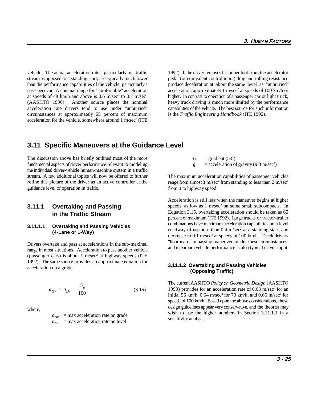vehicle. The actual acceleration rates, particularly in a traffic 1992). If the driver removes his or her foot from the accelerator stream as opposed to a standing start, are typically much lower pedal (or equivalent control input) drag and rolling resistance than the performance capabilities of the vehicle, particularly a produce deceleration at about the same level as "unhurried" passenger car. A nominal range for "comfortable" acceleration acceleration, approximately 1 m/sec<sup>2</sup> at speeds of 100 km/h or at speeds of 48 km/h and above is 0.6 m/sec<sup>2</sup> to 0.7 m/sec<sup>2</sup> higher. In contrast to operation of a passenger car or light truck, (AASHTO 1990). Another source places the nominal heavy truck driving is much more limited by the performance acceleration rate drivers tend to use under "unhurried" capabilities of the vehicle. The best source for such information circumstances at approximately 65 percent of maximum acceleration for the vehicle, somewhere around  $1 \text{ m/sec}^2$  (ITE

is the *Traffic Engineering Handbook* (ITE 1992).

# **3.11 Specific Maneuvers at the Guidance Level**

The discussion above has briefly outlined most of the more fundamental aspects of driver performance relevant to modeling the individual driver-vehicle human-machine system in a traffic stream. A few additional topics will now be offered to further refine this picture of the driver as an active controller at the guidance level of operation in traffic.

#### **3.11.1 Overtaking and Passing in the Traffic Stream**

#### **3.11.1.1 Overtaking and Passing Vehicles (4-Lane or 1-Way)**

Drivers overtake and pass at accelerations in the sub-maximal range in most situations. Acceleration to pass another vehicle (passenger cars) is about 1 m/sec<sup>2</sup> at highway speeds (ITE 1992). The same source provides an approximate equation for acceleration on a grade:

$$
a_{GV} = a_{LV} - \frac{G_g}{100} \tag{3.15}
$$

where,

 $a_{\text{GV}}$  = max acceleration rate on grade  $a_{IV}$  = max acceleration rate on level

- $G = \text{gradient}(5/8)$
- $g =$  acceleration of gravity (9.8 m/sec<sup>2</sup>)

The maximum acceleration capabilities of passenger vehicles range from almost 3 m/sec<sup>2</sup> from standing to less than 2 m/sec<sup>2</sup> from 0 to highway speed.

Acceleration is still less when the maneuver begins at higher speeds, as low as  $1 \text{ m/sec}^2$  on some small subcompacts. In Equation 3.15, overtaking acceleration should be taken as 65 percent of maximum (ITE 1992). Large trucks or tractor-trailer combinations have maximum acceleration capabilities on a level roadway of no more than  $0.4 \text{ m/sec}^2$  at a standing start, and decrease to  $0.1$  m/sec<sup>2</sup> at speeds of 100 km/h. Truck drivers "floorboard" in passing maneuvers under these circumstances, and maximum vehicle performance is also typical driver input.

#### **3.11.1.2 Overtaking and Passing Vehicles (Opposing Traffic)**

The current AASHTO *Policy on Geometric Design* (AASHTO 1990) provides for an acceleration rate of  $0.63$  m/sec<sup>2</sup> for an initial 56 km/h,  $0.64$  m/sec<sup>2</sup> for 70 km/h, and  $0.66$  m/sec<sup>2</sup> for speeds of 100 km/h. Based upon the above considerations, these design guidelines appear very conservative, and the theorist may wish to use the higher numbers in Section 3.11.1.1 in a sensitivity analysis.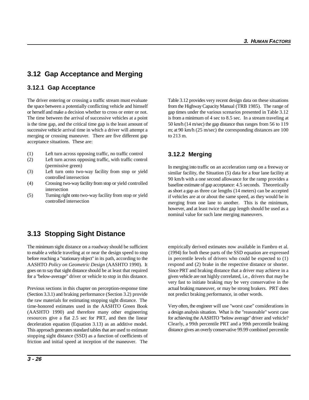# **3.12 Gap Acceptance and Merging**

#### **3.12.1 Gap Acceptance**

The driver entering or crossing a traffic stream must evaluate Table 3.12 provides very recent design data on these situations the space between a potentially conflicting vehicle and himself from the Highway Capacity Manual (TRB 1985). The range of or herself and make a decision whether to cross or enter or not. gap times under the various scenarios presented in Table 3.12 The time between the arrival of successive vehicles at a point is from a minimum of 4 sec to 8.5 sec. In a stream traveling at is the time gap, and the critical time gap is the least amount of 50 km/h (14 m/sec) the gap distance thus ranges from 56 to 119 successive vehicle arrival time in which a driver will attempt a m; at 90 km/h (25 m/sec) the corresponding distances are 100 merging or crossing maneuver. There are five different gap to 213 m. acceptance situations. These are:

- (1) Left turn across opposing traffic, no traffic control
- (2) Left turn across opposing traffic, with traffic control (permissive green)
- (3) Left turn onto two-way facility from stop or yield controlled intersection
- (4) Crossing two-way facility from stop or yield controlled intersection
- (5) Turning right onto two-way facility from stop or yield controlled intersection

## **3.12.2 Merging**

In merging into traffic on an acceleration ramp on a freeway or similar facility, the Situation (5) data for a four lane facility at 90 km/h with a one second allowance for the ramp provides a baseline estimate of gap acceptance: 4.5 seconds. Theoretically as short a gap as three car lengths (14 meters) can be accepted if vehicles are at or about the same speed, as they would be in merging from one lane to another. This is the minimum, however, and at least twice that gap length should be used as a nominal value for such lane merging maneuvers.

# **3.13 Stopping Sight Distance**

The minimum sight distance on a roadway should be sufficient empirically derived estimates now available in Fambro et al. to enable a vehicle traveling at or near the design speed to stop (1994) for both these parts of the SSD equation are expressed before reaching a "stationary object" in its path, according to the in percentile levels of drivers who could be expected to (1) AASHTO *Policy on Geometric Design* (AASHTO 1990). It goes on to say that sight distance should be at least that required for a "below-average" driver or vehicle to stop in this distance.

Previous sections in this chapter on perception-response time (Section 3.3.1) and braking performance (Section 3.2) provide the raw materials for estimating stopping sight distance. The time-honored estimates used in the AASHTO Green Book (AASHTO 1990) and therefore many other engineering resources give a flat 2.5 sec for PRT, and then the linear deceleration equation (Equation 3.13) as an additive model. This approach generates standard tables that are used to estimate stopping sight distance (SSD) as a function of coefficients of friction and initial speed at inception of the maneuver. The

respond and (2) brake in the respective distance or shorter. Since PRT and braking distance that a driver may achieve in a given vehicle are not highly correlated, i.e., drivers that may be very fast to initiate braking may be very conservative in the actual braking maneuver, or may be strong brakers. PRT does not predict braking performance, in other words.

Very often, the engineer will use "worst case" considerations in a design analysis situation. What is the "reasonable" worst case for achieving the AASHTO "below average" driver and vehicle? Clearly, a 99th percentile PRT and a 99th percentile braking distance gives an overly conservative 99.99 combined percentile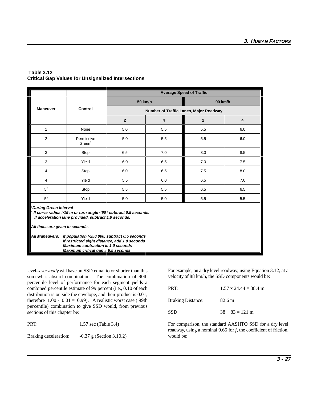| <b>Table 3.12</b> |                                                           |  |
|-------------------|-----------------------------------------------------------|--|
|                   | <b>Critical Gap Values for Unsignalized Intersections</b> |  |

|                                                                                                                                                                                                              | Control                          | <b>Average Speed of Traffic</b>        |     |                |                         |
|--------------------------------------------------------------------------------------------------------------------------------------------------------------------------------------------------------------|----------------------------------|----------------------------------------|-----|----------------|-------------------------|
| <b>Maneuver</b>                                                                                                                                                                                              |                                  | 50 km/h                                |     | 90 km/h        |                         |
|                                                                                                                                                                                                              |                                  | Number of Traffic Lanes, Major Roadway |     |                |                         |
|                                                                                                                                                                                                              |                                  | $\overline{2}$                         | 4   | $\overline{2}$ | $\overline{\mathbf{4}}$ |
| 1                                                                                                                                                                                                            | None                             | 5.0                                    | 5.5 | 5.5            | 6.0                     |
| $\overline{2}$                                                                                                                                                                                               | Permissive<br>Green <sup>1</sup> | 5.0                                    | 5.5 | 5.5            | 6.0                     |
| 3                                                                                                                                                                                                            | Stop                             | 6.5                                    | 7.0 | 8.0            | 8.5                     |
| 3                                                                                                                                                                                                            | Yield                            | 6.0                                    | 6.5 | 7.0            | 7.5                     |
| 4                                                                                                                                                                                                            | Stop                             | 6.0                                    | 6.5 | 7.5            | 8.0                     |
| 4                                                                                                                                                                                                            | Yield                            | 5.5                                    | 6.0 | 6.5            | 7.0                     |
| 5 <sup>2</sup>                                                                                                                                                                                               | Stop                             | 5.5                                    | 5.5 | 6.5            | 6.5                     |
| 5 <sup>2</sup>                                                                                                                                                                                               | Yield                            | 5.0                                    | 5.0 | 5.5            | 5.5                     |
| <sup>1</sup> During Green Interval<br><sup>2</sup> If curve radius >15 m or turn angle <60° subtract 0.5 seconds.<br>If acceleration lane provided, subtract 1.0 seconds.<br>All times are given in seconds. |                                  |                                        |     |                |                         |
| All Maneuvers: if population >250,000, subtract 0.5 seconds<br>if restricted sight distance, add 1.0 seconds<br><b>Maximum subtraction is 1.0 seconds</b><br>Maximum critical gap $\leq 8.5$ seconds         |                                  |                                        |     |                |                         |

level--*everybody* will have an SSD equal to or shorter than this somewhat absurd combination. The combination of 90th percentile level of performance for each segment yields a combined percentile estimate of 99 percent (i.e., 0.10 of each distribution is outside the envelope, and their product is 0.01, therefore  $1.00 - 0.01 = 0.99$ ). A realistic worst case (99th percentile) combination to give SSD would, from previous sections of this chapter be:

PRT: 1.57 sec (Table 3.4)

Braking deceleration: -0.37 g (Section 3.10.2) would be:

For example, on a dry level roadway, using Equation 3.12, at a velocity of 88 km/h, the SSD components would be:

| PRT:                     | $1.57 \times 24.44 = 38.4 \text{ m}$ |  |  |
|--------------------------|--------------------------------------|--|--|
| <b>Braking Distance:</b> | 82.6 m                               |  |  |
| SSD:                     | $38 + 83 = 121$ m                    |  |  |

For comparison, the standard AASHTO SSD for a dry level roadway, using a nominal 0.65 for *f*, the coefficient of friction,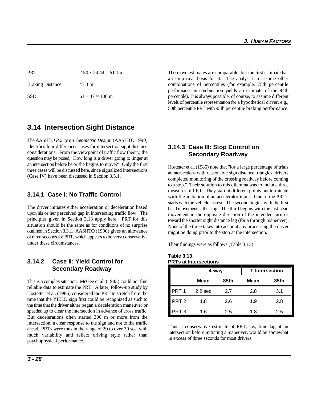# **3.14 Intersection Sight Distance**

The AASHTO *Policy on Geometric Design* (AASHTO 1990) identifies four differences cases for intersection sight distance considerations. From the viewpoint of traffic flow theory, the question may be posed, "How long is a driver going to linger at an intersection before he or she begins to move?" Only the first three cases will be discussed here, since signalized intersections (Case IV) have been discussed in Section 3.5.1.

## **3.14.1 Case I: No Traffic Control**

The driver initiates either acceleration or deceleration based upon his or her perceived gap in intersecting traffic flow. The principles given in Section 3.13 apply here. PRT for this situation should be the same as for conditions of no surprise outlined in Section 3.3.1. AASHTO (1990) gives an allowance of three seconds for PRT, which appears to be very conservative under these circumstances.

## **3.14.2 Case II: Yield Control for Secondary Roadway**

This is a complex situation. McGee et al. (1983) could not find reliable data to estimate the PRT. A later, follow-up study by Hostetter et al. (1986) considered the PRT to stretch from the time that the YIELD sign first could be recognized as such to the time that the driver either began a deceleration maneuver or speeded up to clear the intersection in advance of cross traffic. But decelerations often started 300 m or more from the intersection, a clear response to the sign and not to the traffic ahead. PRTs were thus in the range of 20 to over 30 sec. with much variability and reflect driving style rather than psychophysical performance.

PRT: 2.50 x  $24.44 = 61.1 \text{ m}$  These two estimates are comparable, but the first estimate has Braking Distance: 47.3 m combinations of percentiles (for example, 75th percentile SSD:  $61 + 47 = 108$  m percentile). It is always possible, of course, to assume different an empirical basis for it. The analyst can assume other performance in combination yields an estimate of the 94th levels of percentile representation for a hypothetical driver, e.g., 50th percentile PRT with 95th percentile braking performance.

# **3.14.3 Case III: Stop Control on Secondary Roadway**

Hostetter et al. (1986) note that "for a large percentage of trials at intersections with reasonable sign distance triangles, drivers completed monitoring of the crossing roadway before coming to a stop." Their solution to this dilemma was to include three measures of PRT. They start at different points but terminate with the initiation of an accelerator input. One of the PRT's starts with the vehicle at rest. The second begins with the first head movement at the stop. The third begins with the last head movement in the opposite direction of the intended turn or toward the shorter sight distance leg (for a through maneuver). None of the three takes into account any processing the driver might be doing prior to the stop at the intersection.

Their findings were as follows (Table 3.13):

**Table 3.13 PRTs at Intersections**

|                  | 4-way              |      | <b>T-Intersection</b> |      |
|------------------|--------------------|------|-----------------------|------|
|                  | <b>Mean</b>        | 85th | <b>Mean</b>           | 85th |
| PRT <sub>1</sub> | 2.2 <sub>sec</sub> | 2.7  | 2.8                   | 3.1  |
| PRT <sub>2</sub> | 1.8                | 2.6  | 1.9                   | 2.8  |
| PRT 3            | 1.6                | 2.5  | 1.8                   | 2.5  |

Thus a conservative estimate of PRT, i.e., time lag at an intersection before initiating a maneuver, would be somewhat in excess of three seconds for most drivers.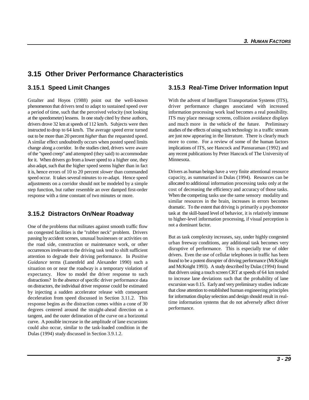# **3.15 Other Driver Performance Characteristics**

Gstalter and Hoyos (1988) point out the well-known With the advent of Intelligent Transportation Systems (ITS), phenomenon that drivers tend to adapt to sustained speed over driver performance changes associated with increased a period of time, such that the perceived velocity (not looking information processing work load becomes a real possibility. at the speedometer) lessens. In one study cited by these authors, ITS may place message screens, collision avoidance displays drivers drove 32 km at speeds of 112 km/h. Subjects were then and much more in the vehicle of the future. Preliminary instructed to drop to 64 km/h. The average speed error turned studies of the effects of using such technology in a traffic stream out to be more than 20 percent *higher* than the requested speed. A similar effect undoubtedly occurs when posted speed limits change along a corridor. In the studies cited, drivers were aware of the "speed creep" and attempted (they said) to accommodate for it. When drivers go from a lower speed to a higher one, they also adapt, such that the higher speed seems higher than in fact it is, hence errors of 10 to 20 percent *slower* than commanded speed occur. It takes several minutes to re-adapt. Hence speed adjustments on a corridor should not be modeled by a simple step function, but rather resemble an over damped first-order response with a time constant of two minutes or more.

## **3.15.2 Distractors On/Near Roadway**

One of the problems that militates against smooth traffic flow on congested facilities is the "rubber neck" problem. Drivers passing by accident scenes, unusual businesses or activities on the road side, construction or maintenance work, or other occurrences irrelevant to the driving task tend to shift sufficient attention to degrade their driving performance. In *Positive Guidance* terms (Lunenfeld and Alexander 1990) such a situation on or near the roadway is a temporary violation of expectancy. How to model the driver response to such distractions? In the absence of specific driver performance data on distractors, the individual driver response could be estimated by injecting a sudden accelerator release with consequent deceleration from speed discussed in Section 3.11.2. This response begins as the distraction comes within a cone of 30 degrees centered around the straight-ahead direction on a tangent, and the outer delineation of the curve on a horizontal curve. A possible increase in the amplitude of lane excursions could also occur, similar to the task-loaded condition in the Dulas (1994) study discussed in Section 3.9.1.2.

#### **3.15.1 Speed Limit Changes 3.15.3 Real-Time Driver Information Input**

are just now appearing in the literature. There is clearly much more to come. For a review of some of the human factors implications of ITS, see Hancock and Pansuraman (1992) and any recent publications by Peter Hancock of The University of Minnesota.

Drivers as human beings have a very finite attentional resource capacity, as summarized in Dulas (1994). Resources can be allocated to additional information processing tasks only at the cost of decreasing the efficiency and accuracy of those tasks. When the competing tasks use the same sensory modality and similar resources in the brain, increases in errors becomes dramatic. To the extent that driving is primarily a psychomotor task at the skill-based level of behavior, it is relatively immune to higher-level information processing, if visual perception is not a dominant factor.

But as task complexity increases, say, under highly congested urban freeway conditions, any additional task becomes very disruptive of performance. This is especially true of older drivers. Even the use of cellular telephones in traffic has been found to be a potent disrupter of driving performance (McKnight and McKnight 1993). A study described by Dulas (1994) found that drivers using a touch screen CRT at speeds of 64 km tended to increase lane deviations such that the probability of lane excursion was 0.15. Early and very preliminary studies indicate that close attention to established human engineering principles for information display selection and design should result in realtime information systems that do not adversely affect driver performance.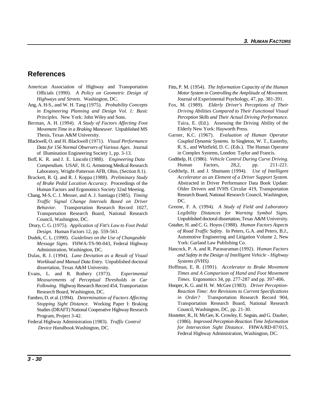## **References**

- American Association of Highway and Transportation Officials (1990). *A Policy on Geometric Design of*
- 
- Berman, A. H. (1994). *A Study of Factors Affecting Foot Movement Time in a Braking Maneuver.* Unpublished MS Thesis, Texas A&M University.
- Blackwell, O. and H. Blackwell (1971). *Visual Performance Data for 156 Normal Observers of Various Ages.* Journal of Illumination Engineering Society 1, pp. 3-13.
- Boff, K. R. and J. E. Lincoln (1988). *Engineering Data Compendium*. USAF, H. G. Armstrong Medical Research Laboratory, Wright-Patterson AFB, Ohio, (Section 8.1).
- Brackett, R. Q. and R. J. Koppa (1988). *Preliminary Study of Brake Pedal Location Accuracy.* Proceedings of the Human Factors and Ergonomics Society 32nd Meeting.
- Chang, M-S, C. J. Messer, and A. J. Santiago (1985). *Timing Traffic Signal Change Intervals Based on Driver Behavior.* Transportation Research Record 1027, Transportation Research Board, National Research Council, Washington, DC.
- Drury, C. G. (1975). *Application of Fitt's Law to Foot Pedal Design.* Human Factors 12, pp. 559-561.
- Dudek, C. L. (1990). *Guidelines on the Use of Changeable Message Signs.* FHWA-TS-90-043, Federal Highway Administration, Washington, DC.
- Dulas, R. J. (1994). *Lane Deviation as a Result of Visual Workload and Manual Data Entry.* Unpublished doctoral dissertation, Texas A&M University.
- Evans, L. and R. Rothery (1973). *Experimental Measurements of Perceptual Thresholds in Car Following.* Highway Research Record 454, Transportation Research Board, Washington, DC.
- Fambro, D. et al. (1994). *Determination of Factors Affecting Stopping Sight Distance.* Working Paper I: Braking Studies (DRAFT) National Cooperative Highway Research Program, Project 3-42.
- Federal Highway Administration (1983). *Traffic Control Device Handbook*.Washington, DC.
- *Highways and Streets*. Washington, DC. Journal of Experimental Psychology, 47, pp. 381-391. Fitts, P. M. (1954). *The Information Capacity of the Human Motor System in Controlling the Amplitude of Movement.*
- Ang, A. H-S., and W. H. Tang (1975). *Probability Concepts* Fox, M. (1989). *Elderly Driver's Perceptions of Their in Engineering Planning and Design Vol. 1: Basic Driving Abilities Compared to Their Functional Visual Principles.* New York: John Wiley and Sons. *Perception Skills and Their Actual Driving Performance.* Taira, E. (Ed.). Assessing the Driving Ability of the Elderly New York: Hayworth Press.
	- Garner, K.C. (1967). *Evaluation of Human Operator Coupled Dynamic Systems.* In Singleton, W. T., Easterby, R. S., and Whitfield, D. C. (Eds.). The Human Operator in Complex Systems, London: Taylor and Francis.
	- Godthelp, H. (1986). *Vehicle Control During Curve Driving.* Human Factors, 28,2, pp. 211-221.
	- Godthelp, H. and J. Shumann (1994). *Use of Intelligent Accelerator as an Element of a Driver Support System.* Abstracted in Driver Performance Data Book Update: Older Drivers and IVHS Circular 419, Transportation Research Board, National Research Council, Washington, DC.
	- Greene, F. A. (1994). *A Study of Field and Laboratory Legibility Distances for Warning Symbol Signs.* Unpublished doctoral dissertation, Texas A&M University.
	- Gstalter, H. and C. G. Hoyos (1988). *Human Factors Aspects of Road Traffic Safety*. In Peters, G.A. and Peters, B.J., Automotive Engineering and Litigation Volume 2, New York: Garland Law Publishing Co.
	- Hancock, P. A. and R. Parasuraman (1992). *Human Factors and Safety in the Design of Intelligent Vehicle - Highway Systems (IVHS)*.
	- Hoffman, E. R. (1991). *Accelerator to Brake Movement Times and A Comparison of Hand and Foot Movement Times.* Ergonomics 34, pp. 277-287 and pp. 397-406.
	- Hooper, K. G. and H. W. McGee (1983). *Driver Perception-Reaction Time: Are Revisions to Current Specifications in Order?* Transportation Research Record 904, Transportation Research Board, National Research Council, Washington, DC, pp. 21-30.
	- Hostetter, R., H. McGee, K. Crowley, E. Seguin, and G. Dauber, (1986). *Improved Perception-Reaction Time Information for Intersection Sight Distance*. FHWA/RD-87/015, Federal Highway Administration, Washington, DC.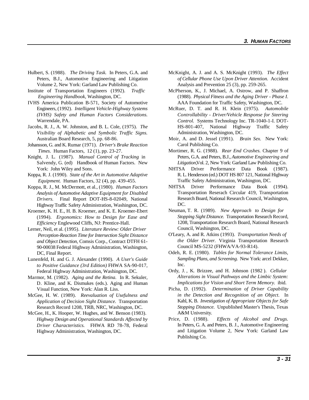- Hulbert, S. (1988). *The Driving Task.* In Peters, G.A. and McKnight, A. J. and A. S. McKnight (1993). *The Effect* Peters, B.J., Automotive Engineering and Litigation Volume 2, New York: Garland Law Publishing Co.
- 
- Warrendale, PA.
- *Visibility of Alphabetic and Symbolic Traffic Signs.*
- Johansson, G. and K. Rumar (1971). *Driver's Brake Reaction Times.* Human Factors, 12 (1), pp. 23-27.
- Knight, J. L. (1987). *Manual Control of Tracking* in
- Koppa, R. J. (1990). *State of the Art in Automotive Adaptive Equipment.* Human Factors, 32 (4), pp. 439-455.
- Koppa, R. J., M. McDermott, et al., (1980). *Human Factors Analysis of Automotive Adaptive Equipment for Disabled Drivers.* Final Report DOT-HS-8-02049, National Highway Traffic Safety Administration, Washington, DC.
- Kroemer, K. H. E., H. B. Kroemer, and K. E. Kroemer-Ebert (1994). *Ergonomics: How to Design for Ease and Efficiency* Englewood Cliffs, NJ: Prentice-Hall.
- Lerner, Neil, et al. (1995). *Literature Review: Older Driver Perception-Reaction Time for Intersection Sight Distance and Object Detection,* Comsis Corp., Contract DTFH 61- 90-00038 Federal Highway Administration, Washington, DC, Final Report.
- Lunenfeld, H. and G. J. Alexander (1990). *A User's Guide to Positive Guidance (3rd Edition)* FHWA SA-90-017, Federal Highway Administration, Washington, DC.
- Marmor, M. (1982). *Aging and the Retina.* In R. Sekuler, D. Kline, and K. Dismukes (eds.). Aging and Human Visual Function, New York: Alan R. Liss.
- McGee, H. W. (1989). *Reevaluation of Usefulness and Application of Decision Sight Distance.* Transportation Research Record 1208, TRB, NRC, Washington, DC.
- McGee, H., K. Hooper, W. Hughes, and W. Benson (1983). *Highway Design and Operational Standards Affected by Driver Characteristics.* FHWA RD 78-78, Federal Highway Administration, Washington, DC.
- *of Cellular Phone Use Upon Driver Attention.* Accident Analysis and Prevention 25 (3), pp. 259-265.
- Institute of Transportation Engineers (1992). *Traffic* McPherson, K., J. Michael, A. Ostrow, and P. Shaffron  *Engineering Handbook*, Washington, DC. (1988). *Physical Fitness and the Aging Driver - Phase I.* IVHS America Publication B-571, Society of Automotive AAA Foundation for Traffic Safety, Washington, DC.
- Engineers, (1992). *Intelligent Vehicle-Highway Systems* McRuer, D. T. and R. H. Klein (1975). *Automobile (IVHS) Safety and Human Factors Considerations. Controllability - Driver/Vehicle Response for Steering* Jacobs, R. J., A. W. Johnston, and B. L. Cole, (1975). *The* HS-801-407, National Highway Traffic Safety *Control.* Systems Technology Inc. TR-1040-1-I. DOT-Administration, Washington, DC.
	- Australian Board Research, 5, pp. 68-86. Moir, A. and D. Jessel (1991). *Brain Sex.* New York: Carol Publishing Co.
	- Salvendy, G. (ed) Handbook of Human Factors. New *Litigation,*Vol. 2, New York: Garland Law Publishing Co. Mortimer, R. G. (1988). *Rear End Crashes.* Chapter 9 of Peters, G.A. and Peters, B.J., *Automotive Engineering and*
	- York: John Wiley and Sons. NHTSA Driver Performance Data Book (1987). R. L. Henderson (ed.) DOT HS 807 121, National Highway Traffic Safety Administration, Washington, DC.
		- NHTSA Driver Performance Data Book (1994). Transportation Reserach Circular 419, Transportation Research Board, National Research Council, Washington, DC.
		- Neuman, T. R. (1989). *New Approach to Design for Stopping Sight Distance.* Transportation Research Record, 1208, Transportation Research Board, National Research Council, Washington, DC.
		- O'Leary, A. and R. Atkins (1993). *Transportation Needs of the Older Driver.* Virginia Transportation Research Council MS-5232 (FHWA/VA-93-R14).
		- Odeh, R. E. (1980). *Tables for Normal Tolerance Limits, Sampling Plans, and Screening.* New York: arcel Dekker, Inc.
		- Ordy, J. , K. Brizzee, and H. Johnson (1982 ). *Cellular Alterations in Visual Pathways and the Limbic System: Implications for Vision and Short Term Memory.* ibid.
		- Picha, D. (1992). *Determination of Driver Capability in the Detection and Recognition of an Object*. In Kahl, K. B. *Investigation of Appropriate Objects for Safe Stopping Distance.* Unpublished Master's Thesis, Texas A&M University.
		- Price, D. (1988). *Effects of Alcohol and Drugs.* In Peters, G. A. and Peters, B. J., Automotive Engineering and Litigation Volume 2, New York: Garland Law Publishing Co.